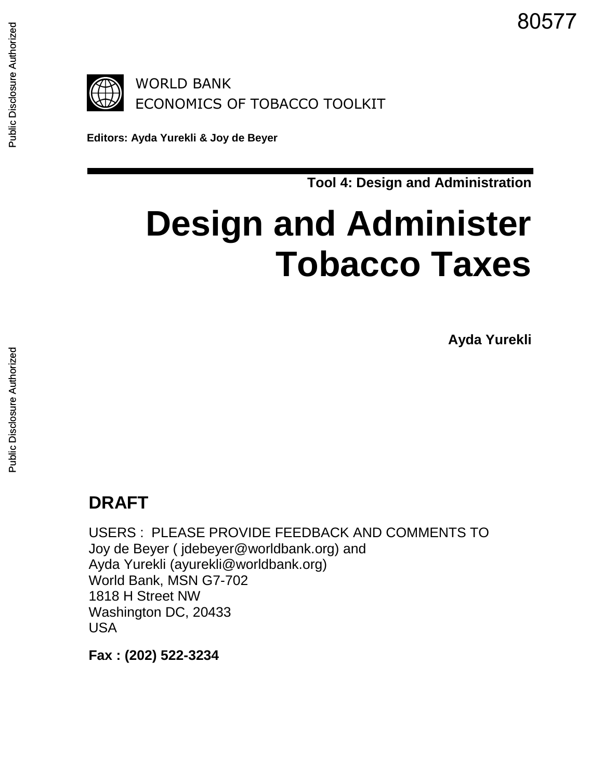80577



**Editors: Ayda Yurekli & Joy de Beyer**

**Tool 4: Design and Administration**

# **Design and Administer Tobacco Taxes**

**Ayda Yurekli**

## **DRAFT**

USERS : PLEASE PROVIDE FEEDBACK AND COMMENTS TO Joy de Beyer ( jdebeyer@worldbank.org) and Ayda Yurekli (ayurekli@worldbank.org) World Bank, MSN G7-702 1818 H Street NW Washington DC, 20433 USA

**Fax : (202) 522-3234**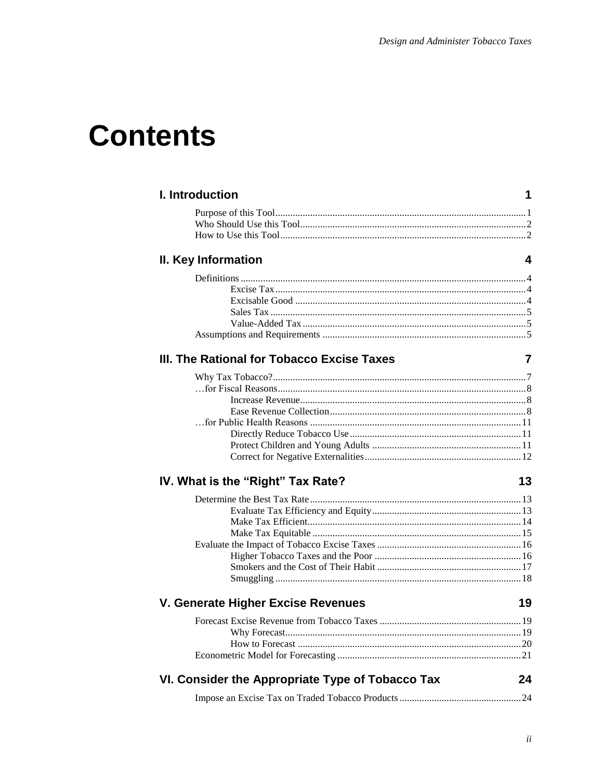## **Contents**

| I. Introduction                                  | 1  |
|--------------------------------------------------|----|
|                                                  |    |
|                                                  |    |
|                                                  |    |
| II. Key Information                              | 4  |
|                                                  |    |
|                                                  |    |
|                                                  |    |
|                                                  |    |
|                                                  |    |
|                                                  |    |
| III. The Rational for Tobacco Excise Taxes       | 7  |
|                                                  |    |
|                                                  |    |
|                                                  |    |
|                                                  |    |
|                                                  |    |
|                                                  |    |
|                                                  |    |
|                                                  |    |
| IV. What is the "Right" Tax Rate?                | 13 |
|                                                  |    |
|                                                  |    |
|                                                  |    |
|                                                  |    |
|                                                  |    |
|                                                  |    |
|                                                  |    |
|                                                  |    |
| V. Generate Higher Excise Revenues               | 19 |
|                                                  |    |
|                                                  |    |
|                                                  |    |
|                                                  |    |
| VI. Consider the Appropriate Type of Tobacco Tax | 24 |
|                                                  |    |
|                                                  |    |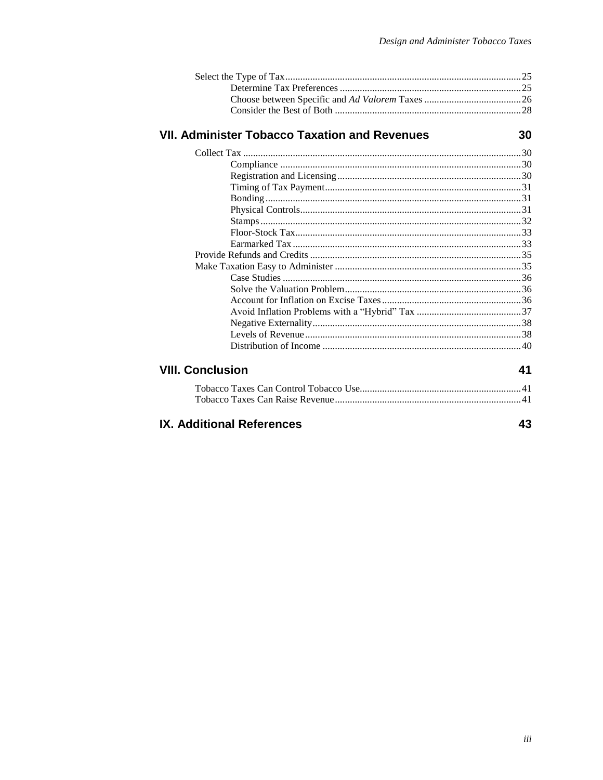## **VII. Administer Tobacco Taxation and Revenues**

30

43

| ∶onclusion |  |
|------------|--|

### **VIII. Conclusion**

### **IX. Additional References**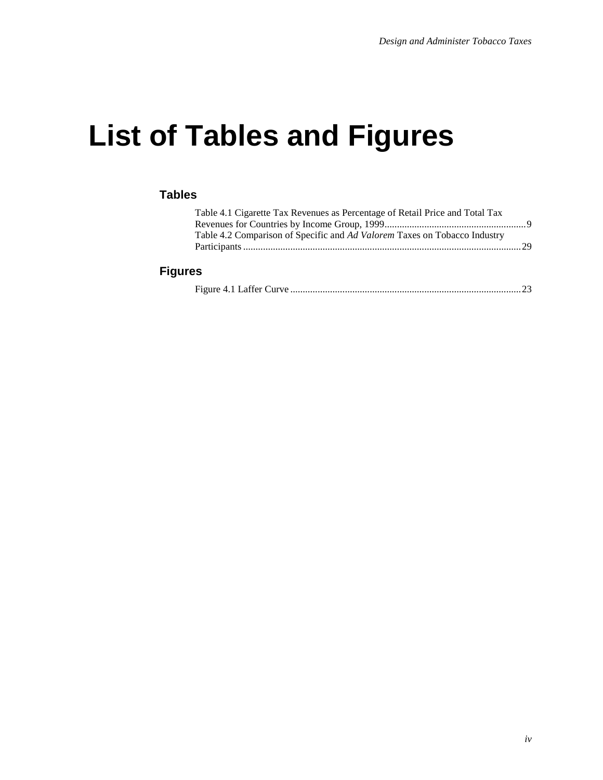## **List of Tables and Figures**

#### **Tables**

| Table 4.1 Cigarette Tax Revenues as Percentage of Retail Price and Total Tax |  |
|------------------------------------------------------------------------------|--|
|                                                                              |  |
| Table 4.2 Comparison of Specific and Ad Valorem Taxes on Tobacco Industry    |  |
|                                                                              |  |
|                                                                              |  |

#### **Figures**

|--|--|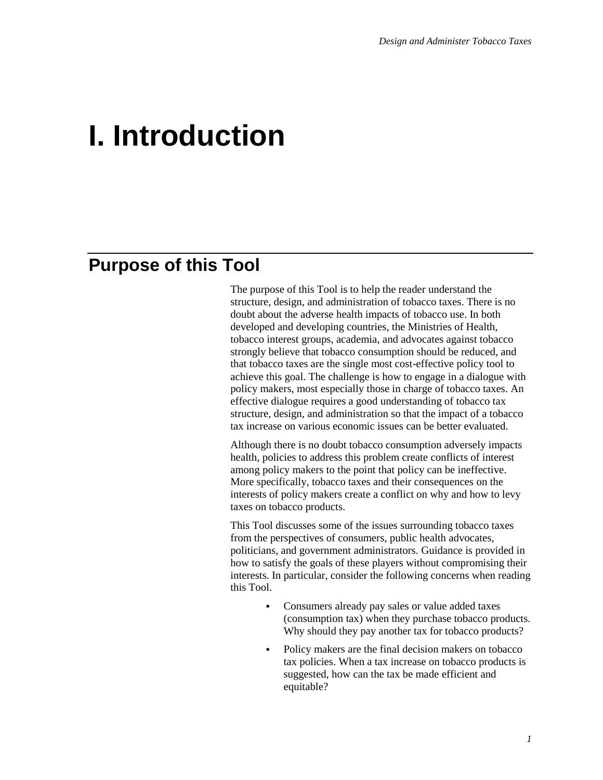## **I. Introduction**

## **Purpose of this Tool**

The purpose of this Tool is to help the reader understand the structure, design, and administration of tobacco taxes. There is no doubt about the adverse health impacts of tobacco use. In both developed and developing countries, the Ministries of Health, tobacco interest groups, academia, and advocates against tobacco strongly believe that tobacco consumption should be reduced, and that tobacco taxes are the single most cost-effective policy tool to achieve this goal. The challenge is how to engage in a dialogue with policy makers, most especially those in charge of tobacco taxes. An effective dialogue requires a good understanding of tobacco tax structure, design, and administration so that the impact of a tobacco tax increase on various economic issues can be better evaluated.

Although there is no doubt tobacco consumption adversely impacts health, policies to address this problem create conflicts of interest among policy makers to the point that policy can be ineffective. More specifically, tobacco taxes and their consequences on the interests of policy makers create a conflict on why and how to levy taxes on tobacco products.

This Tool discusses some of the issues surrounding tobacco taxes from the perspectives of consumers, public health advocates, politicians, and government administrators. Guidance is provided in how to satisfy the goals of these players without compromising their interests. In particular, consider the following concerns when reading this Tool.

- Consumers already pay sales or value added taxes (consumption tax) when they purchase tobacco products. Why should they pay another tax for tobacco products?
- Policy makers are the final decision makers on tobacco tax policies. When a tax increase on tobacco products is suggested, how can the tax be made efficient and equitable?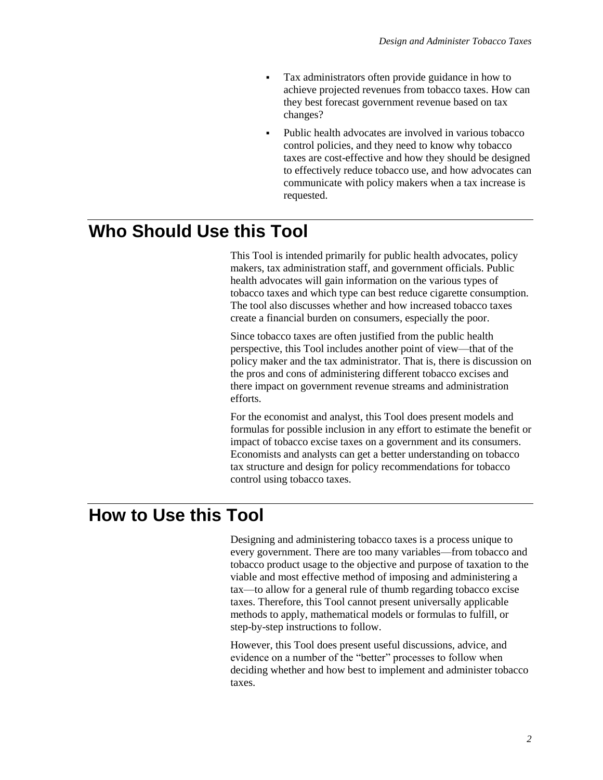- Tax administrators often provide guidance in how to achieve projected revenues from tobacco taxes. How can they best forecast government revenue based on tax changes?
- Public health advocates are involved in various tobacco control policies, and they need to know why tobacco taxes are cost-effective and how they should be designed to effectively reduce tobacco use, and how advocates can communicate with policy makers when a tax increase is requested.

## **Who Should Use this Tool**

This Tool is intended primarily for public health advocates, policy makers, tax administration staff, and government officials. Public health advocates will gain information on the various types of tobacco taxes and which type can best reduce cigarette consumption. The tool also discusses whether and how increased tobacco taxes create a financial burden on consumers, especially the poor.

Since tobacco taxes are often justified from the public health perspective, this Tool includes another point of view—that of the policy maker and the tax administrator. That is, there is discussion on the pros and cons of administering different tobacco excises and there impact on government revenue streams and administration efforts.

For the economist and analyst, this Tool does present models and formulas for possible inclusion in any effort to estimate the benefit or impact of tobacco excise taxes on a government and its consumers. Economists and analysts can get a better understanding on tobacco tax structure and design for policy recommendations for tobacco control using tobacco taxes.

## **How to Use this Tool**

Designing and administering tobacco taxes is a process unique to every government. There are too many variables—from tobacco and tobacco product usage to the objective and purpose of taxation to the viable and most effective method of imposing and administering a tax—to allow for a general rule of thumb regarding tobacco excise taxes. Therefore, this Tool cannot present universally applicable methods to apply, mathematical models or formulas to fulfill, or step-by-step instructions to follow.

However, this Tool does present useful discussions, advice, and evidence on a number of the "better" processes to follow when deciding whether and how best to implement and administer tobacco taxes.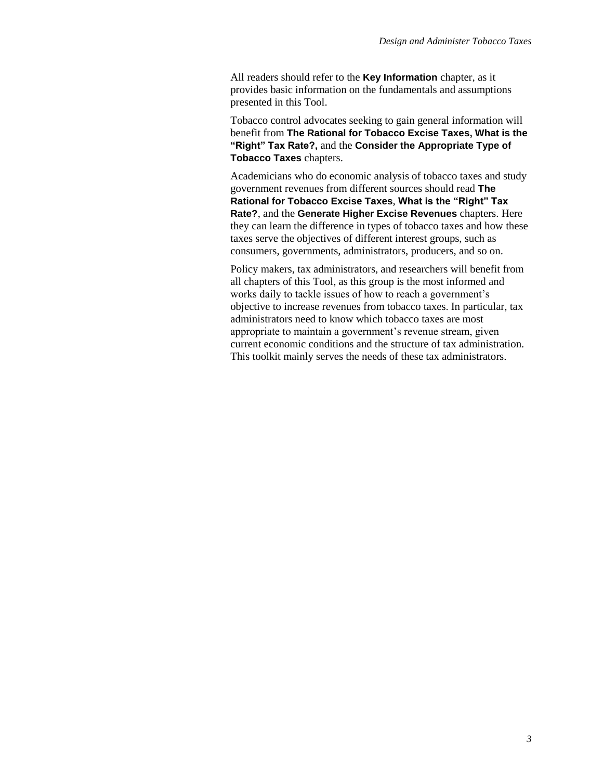All readers should refer to the **Key Information** chapter, as it provides basic information on the fundamentals and assumptions presented in this Tool.

Tobacco control advocates seeking to gain general information will benefit from **The Rational for Tobacco Excise Taxes, What is the "Right" Tax Rate?,** and the **Consider the Appropriate Type of Tobacco Taxes** chapters.

Academicians who do economic analysis of tobacco taxes and study government revenues from different sources should read **The Rational for Tobacco Excise Taxes**, **What is the "Right" Tax Rate?**, and the **Generate Higher Excise Revenues** chapters. Here they can learn the difference in types of tobacco taxes and how these taxes serve the objectives of different interest groups, such as consumers, governments, administrators, producers, and so on.

Policy makers, tax administrators, and researchers will benefit from all chapters of this Tool, as this group is the most informed and works daily to tackle issues of how to reach a government's objective to increase revenues from tobacco taxes. In particular, tax administrators need to know which tobacco taxes are most appropriate to maintain a government's revenue stream, given current economic conditions and the structure of tax administration. This toolkit mainly serves the needs of these tax administrators.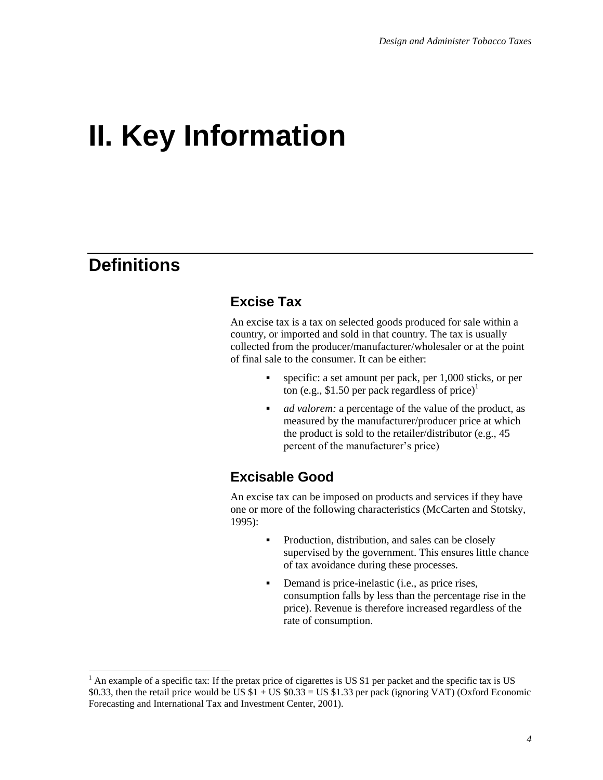## **II. Key Information**

## **Definitions**

l

### **Excise Tax**

An excise tax is a tax on selected goods produced for sale within a country, or imported and sold in that country. The tax is usually collected from the producer/manufacturer/wholesaler or at the point of final sale to the consumer. It can be either:

- specific: a set amount per pack, per 1,000 sticks, or per ton (e.g., \$1.50 per pack regardless of price)<sup>1</sup>
- *ad valorem:* a percentage of the value of the product, as measured by the manufacturer/producer price at which the product is sold to the retailer/distributor (e.g., 45 percent of the manufacturer's price)

### **Excisable Good**

An excise tax can be imposed on products and services if they have one or more of the following characteristics (McCarten and Stotsky, 1995):

- Production, distribution, and sales can be closely supervised by the government. This ensures little chance of tax avoidance during these processes.
- Demand is price-inelastic (i.e., as price rises, consumption falls by less than the percentage rise in the price). Revenue is therefore increased regardless of the rate of consumption.

 $<sup>1</sup>$  An example of a specific tax: If the pretax price of cigarettes is US \$1 per packet and the specific tax is US</sup> \$0.33, then the retail price would be US  $$1 + US $0.33 = US $1.33$  per pack (ignoring VAT) (Oxford Economic Forecasting and International Tax and Investment Center, 2001).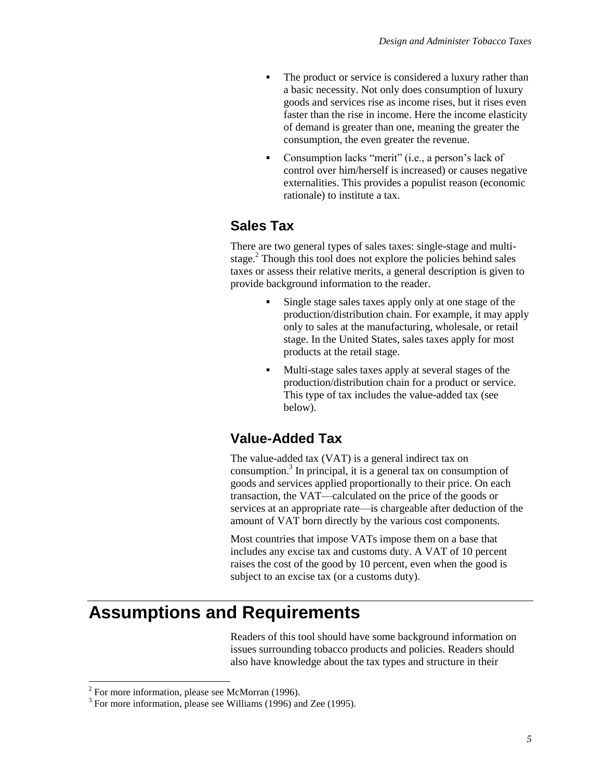- The product or service is considered a luxury rather than a basic necessity. Not only does consumption of luxury goods and services rise as income rises, but it rises even faster than the rise in income. Here the income elasticity of demand is greater than one, meaning the greater the consumption, the even greater the revenue.
- Consumption lacks "merit" (i.e., a person's lack of control over him/herself is increased) or causes negative externalities. This provides a populist reason (economic rationale) to institute a tax.

#### **Sales Tax**

There are two general types of sales taxes: single-stage and multistage.<sup>2</sup> Though this tool does not explore the policies behind sales taxes or assess their relative merits, a general description is given to provide background information to the reader.

- Single stage sales taxes apply only at one stage of the production/distribution chain. For example, it may apply only to sales at the manufacturing, wholesale, or retail stage. In the United States, sales taxes apply for most products at the retail stage.
- Multi-stage sales taxes apply at several stages of the production/distribution chain for a product or service. This type of tax includes the value-added tax (see below).

#### **Value-Added Tax**

The value-added tax (VAT) is a general indirect tax on consumption.<sup>3</sup> In principal, it is a general tax on consumption of goods and services applied proportionally to their price. On each transaction, the VAT—calculated on the price of the goods or services at an appropriate rate—is chargeable after deduction of the amount of VAT born directly by the various cost components.

Most countries that impose VATs impose them on a base that includes any excise tax and customs duty. A VAT of 10 percent raises the cost of the good by 10 percent, even when the good is subject to an excise tax (or a customs duty).

## **Assumptions and Requirements**

Readers of this tool should have some background information on issues surrounding tobacco products and policies. Readers should also have knowledge about the tax types and structure in their

<sup>&</sup>lt;sup>2</sup> For more information, please see McMorran (1996).

<sup>&</sup>lt;sup>3</sup> For more information, please see Williams (1996) and Zee (1995).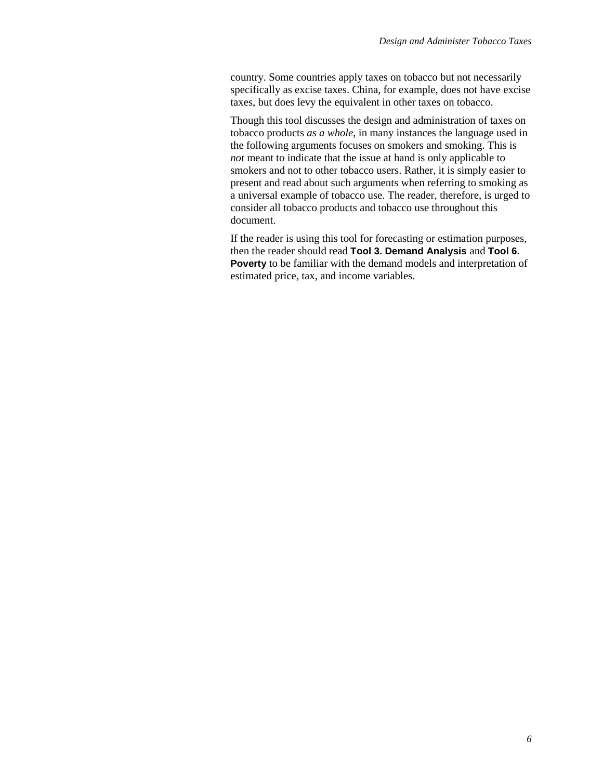country. Some countries apply taxes on tobacco but not necessarily specifically as excise taxes. China, for example, does not have excise taxes, but does levy the equivalent in other taxes on tobacco.

Though this tool discusses the design and administration of taxes on tobacco products *as a whole*, in many instances the language used in the following arguments focuses on smokers and smoking. This is *not* meant to indicate that the issue at hand is only applicable to smokers and not to other tobacco users. Rather, it is simply easier to present and read about such arguments when referring to smoking as a universal example of tobacco use. The reader, therefore, is urged to consider all tobacco products and tobacco use throughout this document.

If the reader is using this tool for forecasting or estimation purposes, then the reader should read **Tool 3. Demand Analysis** and **Tool 6. Poverty** to be familiar with the demand models and interpretation of estimated price, tax, and income variables.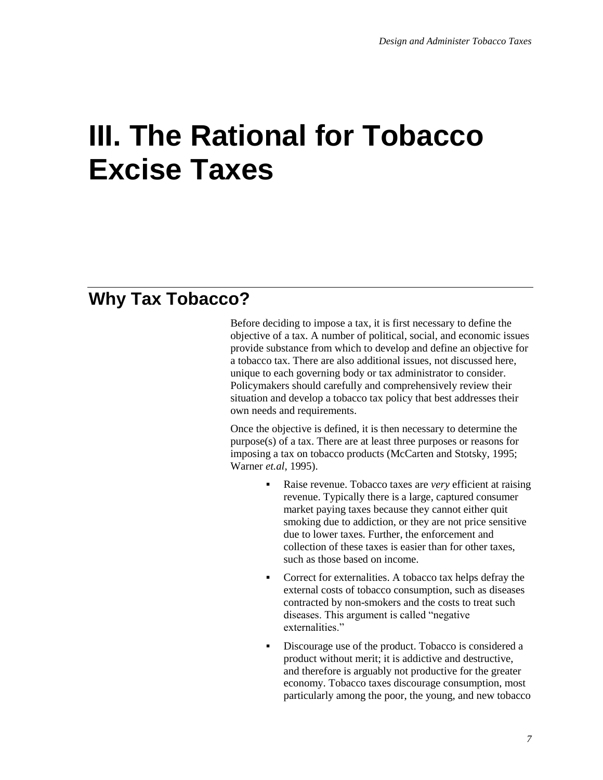## **III. The Rational for Tobacco Excise Taxes**

## **Why Tax Tobacco?**

Before deciding to impose a tax, it is first necessary to define the objective of a tax. A number of political, social, and economic issues provide substance from which to develop and define an objective for a tobacco tax. There are also additional issues, not discussed here, unique to each governing body or tax administrator to consider. Policymakers should carefully and comprehensively review their situation and develop a tobacco tax policy that best addresses their own needs and requirements.

Once the objective is defined, it is then necessary to determine the purpose(s) of a tax. There are at least three purposes or reasons for imposing a tax on tobacco products (McCarten and Stotsky, 1995; Warner *et.al*, 1995).

- Raise revenue. Tobacco taxes are *very* efficient at raising revenue. Typically there is a large, captured consumer market paying taxes because they cannot either quit smoking due to addiction, or they are not price sensitive due to lower taxes. Further, the enforcement and collection of these taxes is easier than for other taxes, such as those based on income.
- Correct for externalities. A tobacco tax helps defray the external costs of tobacco consumption, such as diseases contracted by non-smokers and the costs to treat such diseases. This argument is called "negative externalities."
- Discourage use of the product. Tobacco is considered a product without merit; it is addictive and destructive, and therefore is arguably not productive for the greater economy. Tobacco taxes discourage consumption, most particularly among the poor, the young, and new tobacco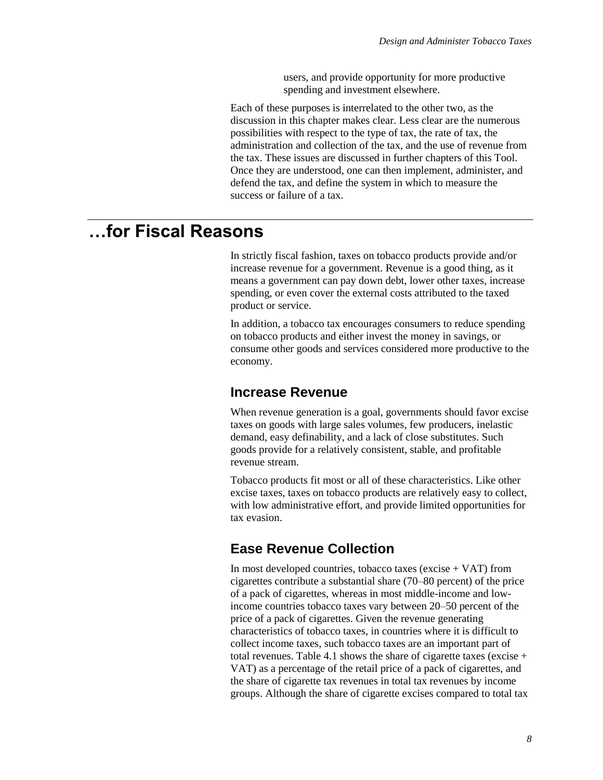users, and provide opportunity for more productive spending and investment elsewhere.

Each of these purposes is interrelated to the other two, as the discussion in this chapter makes clear. Less clear are the numerous possibilities with respect to the type of tax, the rate of tax, the administration and collection of the tax, and the use of revenue from the tax. These issues are discussed in further chapters of this Tool. Once they are understood, one can then implement, administer, and defend the tax, and define the system in which to measure the success or failure of a tax.

## **…for Fiscal Reasons**

In strictly fiscal fashion, taxes on tobacco products provide and/or increase revenue for a government. Revenue is a good thing, as it means a government can pay down debt, lower other taxes, increase spending, or even cover the external costs attributed to the taxed product or service.

In addition, a tobacco tax encourages consumers to reduce spending on tobacco products and either invest the money in savings, or consume other goods and services considered more productive to the economy.

#### **Increase Revenue**

When revenue generation is a goal, governments should favor excise taxes on goods with large sales volumes, few producers, inelastic demand, easy definability, and a lack of close substitutes. Such goods provide for a relatively consistent, stable, and profitable revenue stream.

Tobacco products fit most or all of these characteristics. Like other excise taxes, taxes on tobacco products are relatively easy to collect, with low administrative effort, and provide limited opportunities for tax evasion.

## **Ease Revenue Collection**

In most developed countries, tobacco taxes (excise  $+$  VAT) from cigarettes contribute a substantial share (70–80 percent) of the price of a pack of cigarettes, whereas in most middle-income and lowincome countries tobacco taxes vary between 20–50 percent of the price of a pack of cigarettes. Given the revenue generating characteristics of tobacco taxes, in countries where it is difficult to collect income taxes, such tobacco taxes are an important part of total revenues. Table 4.1 shows the share of cigarette taxes (excise + VAT) as a percentage of the retail price of a pack of cigarettes, and the share of cigarette tax revenues in total tax revenues by income groups. Although the share of cigarette excises compared to total tax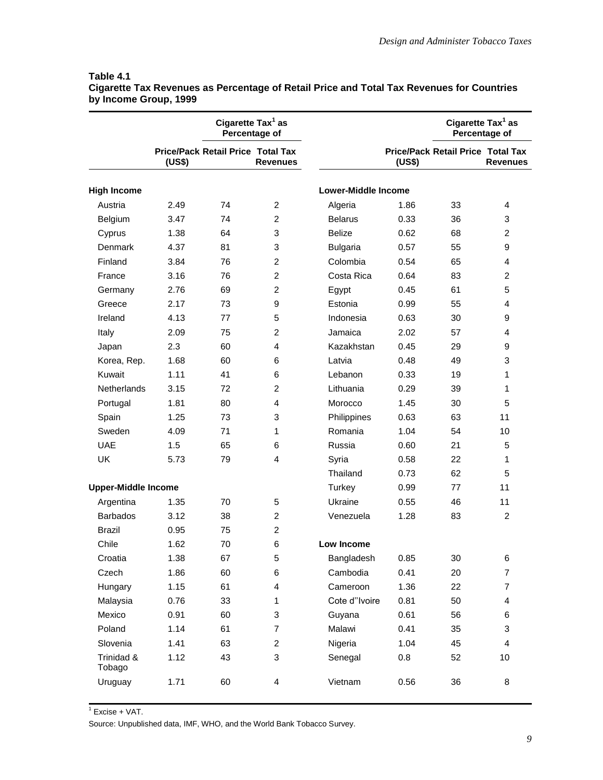|                            | Cigarette Tax <sup>1</sup> as<br>Percentage of |                                          |                         |                            | Cigarette Tax <sup>1</sup> as<br>Percentage of |                                          |                 |
|----------------------------|------------------------------------------------|------------------------------------------|-------------------------|----------------------------|------------------------------------------------|------------------------------------------|-----------------|
|                            | (US\$)                                         | <b>Price/Pack Retail Price Total Tax</b> | <b>Revenues</b>         |                            | (US\$)                                         | <b>Price/Pack Retail Price Total Tax</b> | <b>Revenues</b> |
| <b>High Income</b>         |                                                |                                          |                         | <b>Lower-Middle Income</b> |                                                |                                          |                 |
| Austria                    | 2.49                                           | 74                                       | $\overline{c}$          | Algeria                    | 1.86                                           | 33                                       | 4               |
| Belgium                    | 3.47                                           | 74                                       | $\overline{c}$          | <b>Belarus</b>             | 0.33                                           | 36                                       | 3               |
| Cyprus                     | 1.38                                           | 64                                       | 3                       | <b>Belize</b>              | 0.62                                           | 68                                       | $\overline{2}$  |
| Denmark                    | 4.37                                           | 81                                       | 3                       | <b>Bulgaria</b>            | 0.57                                           | 55                                       | 9               |
| Finland                    | 3.84                                           | 76                                       | $\overline{c}$          | Colombia                   | 0.54                                           | 65                                       | 4               |
| France                     | 3.16                                           | 76                                       | $\overline{2}$          | Costa Rica                 | 0.64                                           | 83                                       | $\overline{c}$  |
| Germany                    | 2.76                                           | 69                                       | $\overline{c}$          | Egypt                      | 0.45                                           | 61                                       | 5               |
| Greece                     | 2.17                                           | 73                                       | 9                       | Estonia                    | 0.99                                           | 55                                       | 4               |
| Ireland                    | 4.13                                           | 77                                       | 5                       | Indonesia                  | 0.63                                           | 30                                       | 9               |
| Italy                      | 2.09                                           | 75                                       | $\overline{c}$          | Jamaica                    | 2.02                                           | 57                                       | 4               |
| Japan                      | 2.3                                            | 60                                       | $\overline{4}$          | Kazakhstan                 | 0.45                                           | 29                                       | 9               |
| Korea, Rep.                | 1.68                                           | 60                                       | 6                       | Latvia                     | 0.48                                           | 49                                       | 3               |
| Kuwait                     | 1.11                                           | 41                                       | 6                       | Lebanon                    | 0.33                                           | 19                                       | 1               |
| <b>Netherlands</b>         | 3.15                                           | 72                                       | $\overline{c}$          | Lithuania                  | 0.29                                           | 39                                       | 1               |
| Portugal                   | 1.81                                           | 80                                       | 4                       | Morocco                    | 1.45                                           | 30                                       | 5               |
| Spain                      | 1.25                                           | 73                                       | 3                       | Philippines                | 0.63                                           | 63                                       | 11              |
| Sweden                     | 4.09                                           | 71                                       | 1                       | Romania                    | 1.04                                           | 54                                       | 10              |
| <b>UAE</b>                 | 1.5                                            | 65                                       | 6                       | Russia                     | 0.60                                           | 21                                       | 5               |
| <b>UK</b>                  | 5.73                                           | 79                                       | 4                       | Syria                      | 0.58                                           | 22                                       | 1               |
|                            |                                                |                                          |                         | Thailand                   | 0.73                                           | 62                                       | 5               |
| <b>Upper-Middle Income</b> |                                                |                                          |                         | Turkey                     | 0.99                                           | 77                                       | 11              |
| Argentina                  | 1.35                                           | 70                                       | 5                       | Ukraine                    | 0.55                                           | 46                                       | 11              |
| <b>Barbados</b>            | 3.12                                           | 38                                       | $\overline{c}$          | Venezuela                  | 1.28                                           | 83                                       | $\overline{c}$  |
| Brazil                     | 0.95                                           | 75                                       | $\overline{c}$          |                            |                                                |                                          |                 |
| Chile                      | 1.62                                           | 70                                       | 6                       | Low Income                 |                                                |                                          |                 |
| Croatia                    | 1.38                                           | 67                                       | 5                       | Bangladesh                 | 0.85                                           | 30                                       | 6               |
| Czech                      | 1.86                                           | 60                                       | 6                       | Cambodia                   | 0.41                                           | 20                                       | $\overline{7}$  |
| Hungary                    | 1.15                                           | 61                                       | $\overline{\mathbf{4}}$ | Cameroon                   | 1.36                                           | 22                                       | $\overline{7}$  |
| Malaysia                   | 0.76                                           | 33                                       | 1                       | Cote d"Ivoire              | 0.81                                           | 50                                       | 4               |
| Mexico                     | 0.91                                           | 60                                       | 3                       | Guyana                     | 0.61                                           | 56                                       | 6               |
| Poland                     | 1.14                                           | 61                                       | $\overline{7}$          | Malawi                     | 0.41                                           | 35                                       | 3               |
| Slovenia                   | 1.41                                           | 63                                       | $\overline{c}$          | Nigeria                    | 1.04                                           | 45                                       | $\overline{4}$  |
| Trinidad &<br>Tobago       | 1.12                                           | 43                                       | 3                       | Senegal                    | 0.8                                            | 52                                       | 10              |
| Uruguay                    | 1.71                                           | 60                                       | 4                       | Vietnam                    | 0.56                                           | 36                                       | 8               |

#### **Table 4.1 Cigarette Tax Revenues as Percentage of Retail Price and Total Tax Revenues for Countries by Income Group, 1999**

 $\overline{1}$  Excise + VAT. Source: Unpublished data, IMF, WHO, and the World Bank Tobacco Survey.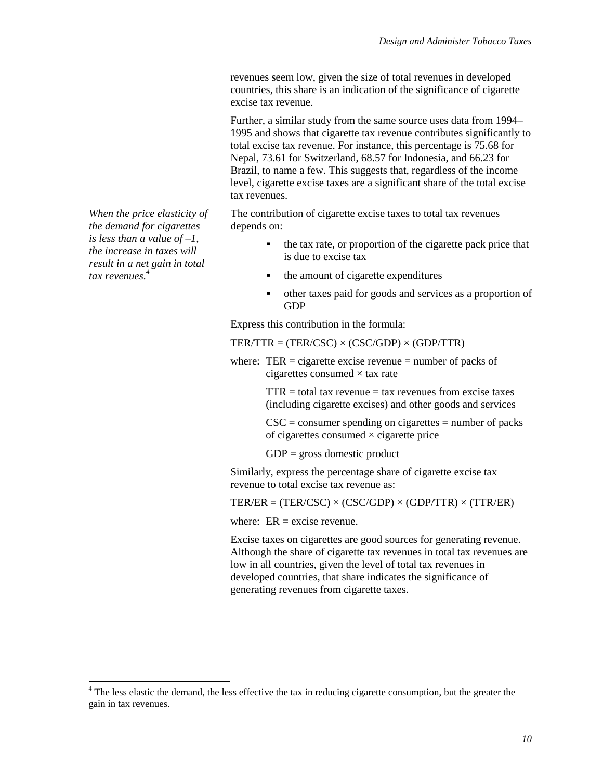revenues seem low, given the size of total revenues in developed countries, this share is an indication of the significance of cigarette excise tax revenue.

Further, a similar study from the same source uses data from 1994– 1995 and shows that cigarette tax revenue contributes significantly to total excise tax revenue. For instance, this percentage is 75.68 for Nepal, 73.61 for Switzerland, 68.57 for Indonesia, and 66.23 for Brazil, to name a few. This suggests that, regardless of the income level, cigarette excise taxes are a significant share of the total excise tax revenues.

The contribution of cigarette excise taxes to total tax revenues depends on:

- $\bullet$  the tax rate, or proportion of the cigarette pack price that is due to excise tax
- the amount of cigarette expenditures
- other taxes paid for goods and services as a proportion of GDP

Express this contribution in the formula:

 $TER/ITR = (TER/CSC) \times (CSC/GDP) \times (GDP/TTR)$ 

where:  $TER =$  cigarette excise revenue = number of packs of cigarettes consumed  $\times$  tax rate

> $TTR =$  total tax revenue  $=$  tax revenues from excise taxes (including cigarette excises) and other goods and services

 $CSC = \text{consumer spending on eigenettes} = \text{number of packs}$ of cigarettes consumed  $\times$  cigarette price

 $GDP =$  gross domestic product

Similarly, express the percentage share of cigarette excise tax revenue to total excise tax revenue as:

 $TER/ER = (TER/ CSC) \times (CSC/GDP) \times (GDP/TTR) \times (TTR/ER)$ 

where:  $ER = excise$  revenue.

Excise taxes on cigarettes are good sources for generating revenue. Although the share of cigarette tax revenues in total tax revenues are low in all countries, given the level of total tax revenues in developed countries, that share indicates the significance of generating revenues from cigarette taxes.

*When the price elasticity of the demand for cigarettes is less than a value of –1, the increase in taxes will result in a net gain in total tax revenues. 4*

l

 $4$  The less elastic the demand, the less effective the tax in reducing cigarette consumption, but the greater the gain in tax revenues.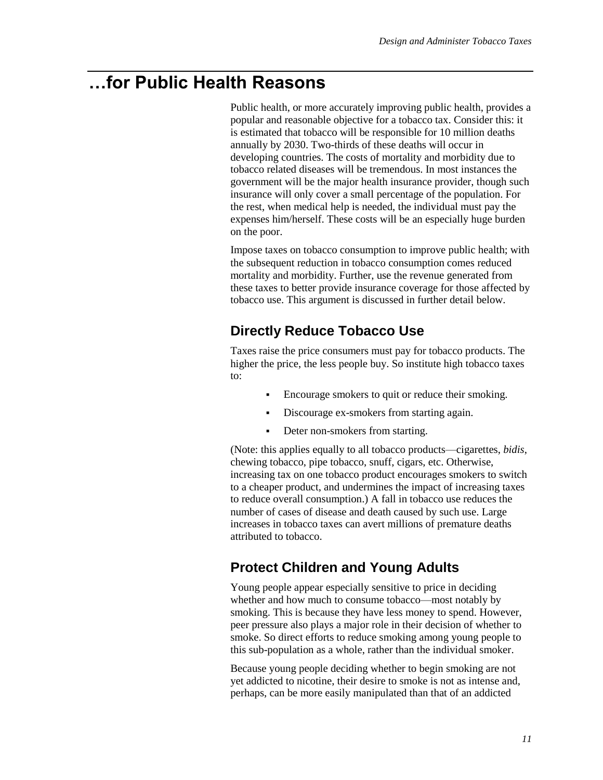## **…for Public Health Reasons**

Public health, or more accurately improving public health, provides a popular and reasonable objective for a tobacco tax. Consider this: it is estimated that tobacco will be responsible for 10 million deaths annually by 2030. Two-thirds of these deaths will occur in developing countries. The costs of mortality and morbidity due to tobacco related diseases will be tremendous. In most instances the government will be the major health insurance provider, though such insurance will only cover a small percentage of the population. For the rest, when medical help is needed, the individual must pay the expenses him/herself. These costs will be an especially huge burden on the poor.

Impose taxes on tobacco consumption to improve public health; with the subsequent reduction in tobacco consumption comes reduced mortality and morbidity. Further, use the revenue generated from these taxes to better provide insurance coverage for those affected by tobacco use. This argument is discussed in further detail below.

## **Directly Reduce Tobacco Use**

Taxes raise the price consumers must pay for tobacco products. The higher the price, the less people buy. So institute high tobacco taxes to:

- Encourage smokers to quit or reduce their smoking.
- Discourage ex-smokers from starting again.
- Deter non-smokers from starting.

(Note: this applies equally to all tobacco products—cigarettes, *bidis*, chewing tobacco, pipe tobacco, snuff, cigars, etc. Otherwise, increasing tax on one tobacco product encourages smokers to switch to a cheaper product, and undermines the impact of increasing taxes to reduce overall consumption.) A fall in tobacco use reduces the number of cases of disease and death caused by such use. Large increases in tobacco taxes can avert millions of premature deaths attributed to tobacco.

## **Protect Children and Young Adults**

Young people appear especially sensitive to price in deciding whether and how much to consume tobacco—most notably by smoking. This is because they have less money to spend. However, peer pressure also plays a major role in their decision of whether to smoke. So direct efforts to reduce smoking among young people to this sub-population as a whole, rather than the individual smoker.

Because young people deciding whether to begin smoking are not yet addicted to nicotine, their desire to smoke is not as intense and, perhaps, can be more easily manipulated than that of an addicted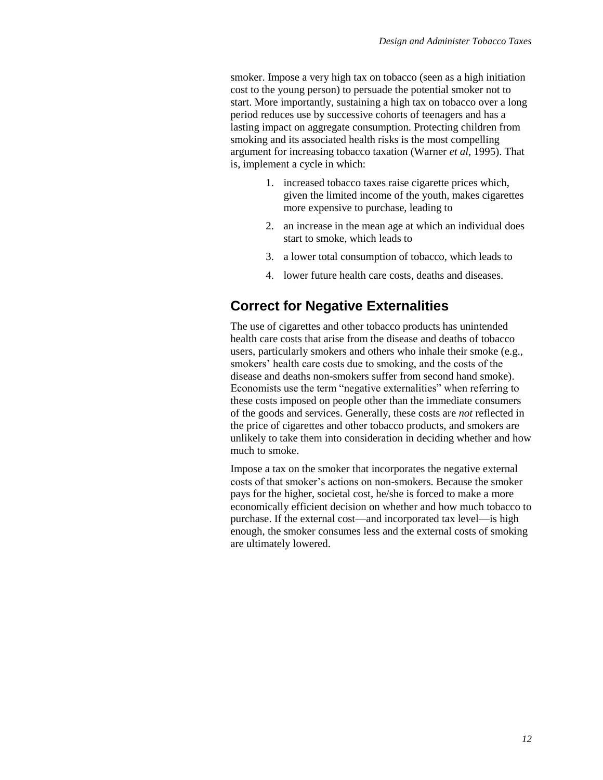smoker. Impose a very high tax on tobacco (seen as a high initiation cost to the young person) to persuade the potential smoker not to start. More importantly, sustaining a high tax on tobacco over a long period reduces use by successive cohorts of teenagers and has a lasting impact on aggregate consumption. Protecting children from smoking and its associated health risks is the most compelling argument for increasing tobacco taxation (Warner *et al,* 1995). That is, implement a cycle in which:

- 1. increased tobacco taxes raise cigarette prices which, given the limited income of the youth, makes cigarettes more expensive to purchase, leading to
- 2. an increase in the mean age at which an individual does start to smoke, which leads to
- 3. a lower total consumption of tobacco, which leads to
- 4. lower future health care costs, deaths and diseases.

#### **Correct for Negative Externalities**

The use of cigarettes and other tobacco products has unintended health care costs that arise from the disease and deaths of tobacco users, particularly smokers and others who inhale their smoke (e.g., smokers' health care costs due to smoking, and the costs of the disease and deaths non-smokers suffer from second hand smoke). Economists use the term "negative externalities" when referring to these costs imposed on people other than the immediate consumers of the goods and services. Generally, these costs are *not* reflected in the price of cigarettes and other tobacco products, and smokers are unlikely to take them into consideration in deciding whether and how much to smoke.

Impose a tax on the smoker that incorporates the negative external costs of that smoker's actions on non-smokers. Because the smoker pays for the higher, societal cost, he/she is forced to make a more economically efficient decision on whether and how much tobacco to purchase. If the external cost—and incorporated tax level—is high enough, the smoker consumes less and the external costs of smoking are ultimately lowered.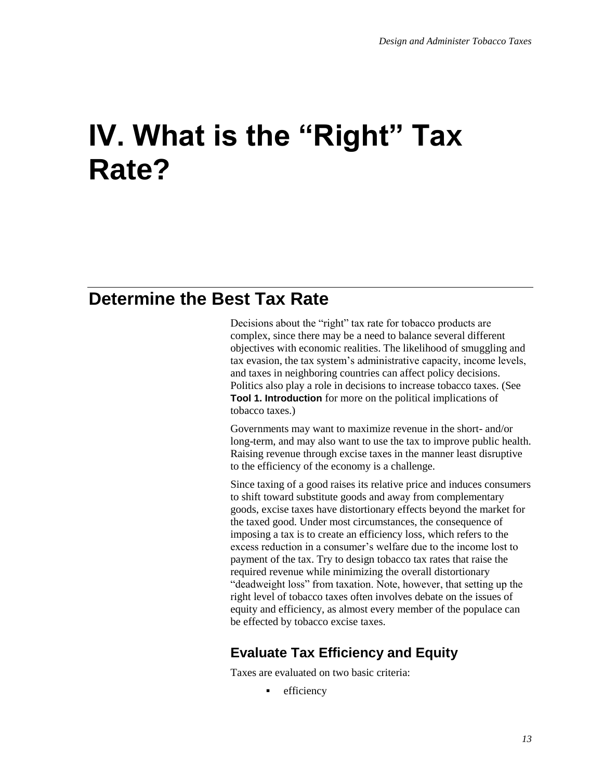## **IV. What is the "Right" Tax Rate?**

## **Determine the Best Tax Rate**

Decisions about the "right" tax rate for tobacco products are complex, since there may be a need to balance several different objectives with economic realities. The likelihood of smuggling and tax evasion, the tax system's administrative capacity, income levels, and taxes in neighboring countries can affect policy decisions. Politics also play a role in decisions to increase tobacco taxes. (See **Tool 1. Introduction** for more on the political implications of tobacco taxes.)

Governments may want to maximize revenue in the short- and/or long-term, and may also want to use the tax to improve public health. Raising revenue through excise taxes in the manner least disruptive to the efficiency of the economy is a challenge.

Since taxing of a good raises its relative price and induces consumers to shift toward substitute goods and away from complementary goods, excise taxes have distortionary effects beyond the market for the taxed good. Under most circumstances, the consequence of imposing a tax is to create an efficiency loss, which refers to the excess reduction in a consumer's welfare due to the income lost to payment of the tax. Try to design tobacco tax rates that raise the required revenue while minimizing the overall distortionary "deadweight loss" from taxation. Note, however, that setting up the right level of tobacco taxes often involves debate on the issues of equity and efficiency, as almost every member of the populace can be effected by tobacco excise taxes.

## **Evaluate Tax Efficiency and Equity**

Taxes are evaluated on two basic criteria:

**•** efficiency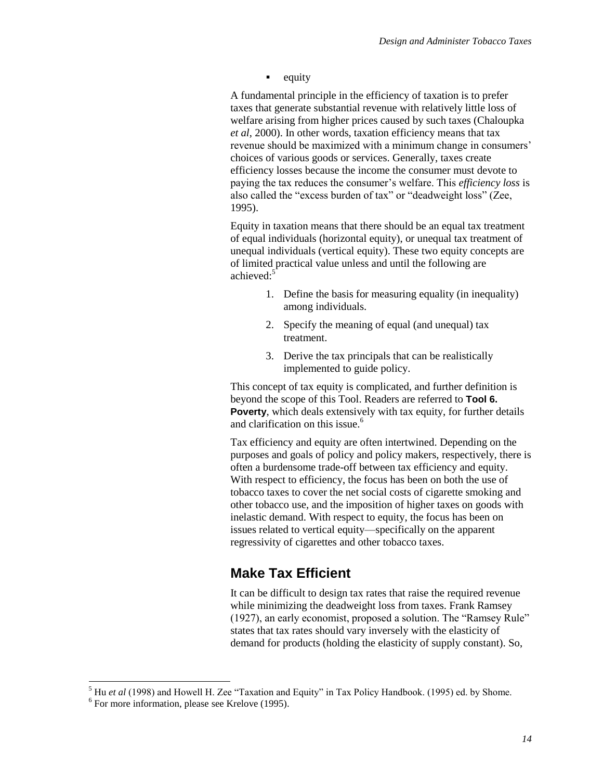$\blacksquare$  equity

A fundamental principle in the efficiency of taxation is to prefer taxes that generate substantial revenue with relatively little loss of welfare arising from higher prices caused by such taxes (Chaloupka *et al*, 2000). In other words, taxation efficiency means that tax revenue should be maximized with a minimum change in consumers' choices of various goods or services. Generally, taxes create efficiency losses because the income the consumer must devote to paying the tax reduces the consumer's welfare. This *efficiency loss* is also called the "excess burden of tax" or "deadweight loss" (Zee, 1995).

Equity in taxation means that there should be an equal tax treatment of equal individuals (horizontal equity), or unequal tax treatment of unequal individuals (vertical equity). These two equity concepts are of limited practical value unless and until the following are achieved:<sup>5</sup>

- 1. Define the basis for measuring equality (in inequality) among individuals.
- 2. Specify the meaning of equal (and unequal) tax treatment.
- 3. Derive the tax principals that can be realistically implemented to guide policy.

This concept of tax equity is complicated, and further definition is beyond the scope of this Tool. Readers are referred to **Tool 6. Poverty**, which deals extensively with tax equity, for further details and clarification on this issue.<sup>6</sup>

Tax efficiency and equity are often intertwined. Depending on the purposes and goals of policy and policy makers, respectively, there is often a burdensome trade-off between tax efficiency and equity. With respect to efficiency, the focus has been on both the use of tobacco taxes to cover the net social costs of cigarette smoking and other tobacco use, and the imposition of higher taxes on goods with inelastic demand. With respect to equity, the focus has been on issues related to vertical equity—specifically on the apparent regressivity of cigarettes and other tobacco taxes.

## **Make Tax Efficient**

It can be difficult to design tax rates that raise the required revenue while minimizing the deadweight loss from taxes. Frank Ramsey (1927), an early economist, proposed a solution. The "Ramsey Rule" states that tax rates should vary inversely with the elasticity of demand for products (holding the elasticity of supply constant). So,

l

<sup>&</sup>lt;sup>5</sup> Hu *et al* (1998) and Howell H. Zee "Taxation and Equity" in Tax Policy Handbook. (1995) ed. by Shome.

<sup>&</sup>lt;sup>6</sup> For more information, please see Krelove (1995).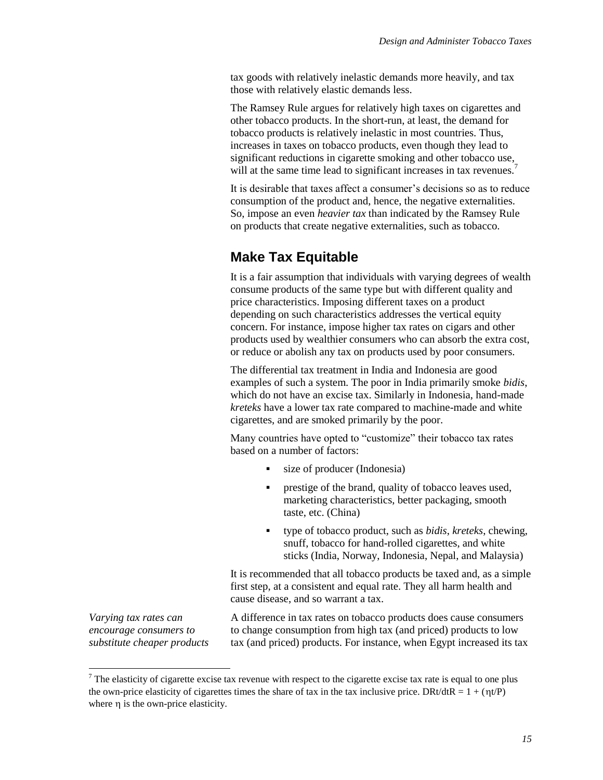tax goods with relatively inelastic demands more heavily, and tax those with relatively elastic demands less.

The Ramsey Rule argues for relatively high taxes on cigarettes and other tobacco products. In the short-run, at least, the demand for tobacco products is relatively inelastic in most countries. Thus, increases in taxes on tobacco products, even though they lead to significant reductions in cigarette smoking and other tobacco use, will at the same time lead to significant increases in tax revenues.<sup>7</sup>

It is desirable that taxes affect a consumer's decisions so as to reduce consumption of the product and, hence, the negative externalities. So, impose an even *heavier tax* than indicated by the Ramsey Rule on products that create negative externalities, such as tobacco.

## **Make Tax Equitable**

It is a fair assumption that individuals with varying degrees of wealth consume products of the same type but with different quality and price characteristics. Imposing different taxes on a product depending on such characteristics addresses the vertical equity concern. For instance, impose higher tax rates on cigars and other products used by wealthier consumers who can absorb the extra cost, or reduce or abolish any tax on products used by poor consumers.

The differential tax treatment in India and Indonesia are good examples of such a system. The poor in India primarily smoke *bidis*, which do not have an excise tax. Similarly in Indonesia, hand-made *kreteks* have a lower tax rate compared to machine-made and white cigarettes, and are smoked primarily by the poor.

Many countries have opted to "customize" their tobacco tax rates based on a number of factors:

- size of producer (Indonesia)
- prestige of the brand, quality of tobacco leaves used, marketing characteristics, better packaging, smooth taste, etc. (China)
- type of tobacco product, such as *bidis*, *kreteks*, chewing, snuff, tobacco for hand-rolled cigarettes, and white sticks (India, Norway, Indonesia, Nepal, and Malaysia)

It is recommended that all tobacco products be taxed and, as a simple first step, at a consistent and equal rate. They all harm health and cause disease, and so warrant a tax.

*Varying tax rates can encourage consumers to substitute cheaper products* 

l

A difference in tax rates on tobacco products does cause consumers to change consumption from high tax (and priced) products to low tax (and priced) products. For instance, when Egypt increased its tax

 $7$  The elasticity of cigarette excise tax revenue with respect to the cigarette excise tax rate is equal to one plus the own-price elasticity of cigarettes times the share of tax in the tax inclusive price. DRt/dtR =  $1 + (\eta t/P)$ where  $\eta$  is the own-price elasticity.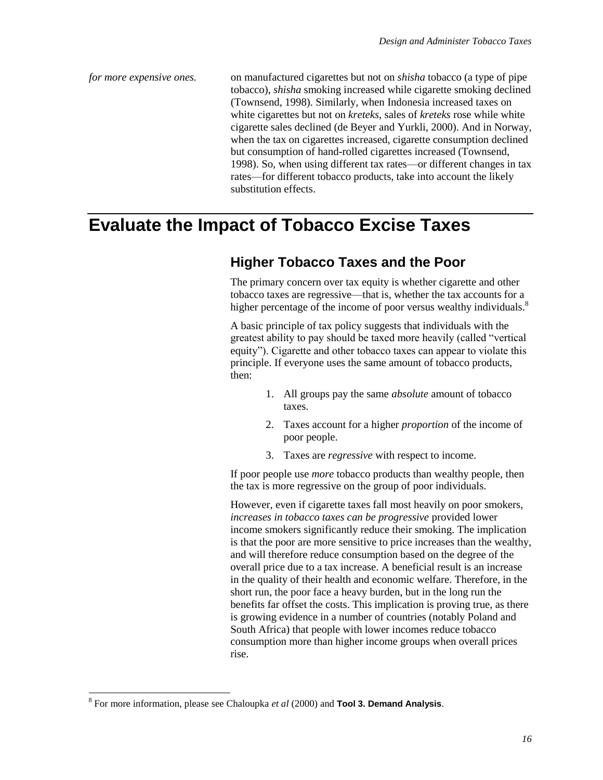*for more expensive ones.* on manufactured cigarettes but not on *shisha* tobacco (a type of pipe tobacco), *shisha* smoking increased while cigarette smoking declined (Townsend, 1998). Similarly, when Indonesia increased taxes on white cigarettes but not on *kreteks*, sales of *kreteks* rose while white cigarette sales declined (de Beyer and Yurkli, 2000). And in Norway, when the tax on cigarettes increased, cigarette consumption declined but consumption of hand-rolled cigarettes increased (Townsend, 1998). So, when using different tax rates—or different changes in tax rates—for different tobacco products, take into account the likely substitution effects.

## **Evaluate the Impact of Tobacco Excise Taxes**

## **Higher Tobacco Taxes and the Poor**

The primary concern over tax equity is whether cigarette and other tobacco taxes are regressive—that is, whether the tax accounts for a higher percentage of the income of poor versus wealthy individuals.<sup>8</sup>

A basic principle of tax policy suggests that individuals with the greatest ability to pay should be taxed more heavily (called "vertical equity"). Cigarette and other tobacco taxes can appear to violate this principle. If everyone uses the same amount of tobacco products, then:

- 1. All groups pay the same *absolute* amount of tobacco taxes.
- 2. Taxes account for a higher *proportion* of the income of poor people.
- 3. Taxes are *regressive* with respect to income.

If poor people use *more* tobacco products than wealthy people, then the tax is more regressive on the group of poor individuals.

However, even if cigarette taxes fall most heavily on poor smokers, *increases in tobacco taxes can be progressive* provided lower income smokers significantly reduce their smoking. The implication is that the poor are more sensitive to price increases than the wealthy, and will therefore reduce consumption based on the degree of the overall price due to a tax increase. A beneficial result is an increase in the quality of their health and economic welfare. Therefore, in the short run, the poor face a heavy burden, but in the long run the benefits far offset the costs. This implication is proving true, as there is growing evidence in a number of countries (notably Poland and South Africa) that people with lower incomes reduce tobacco consumption more than higher income groups when overall prices rise.

 $\overline{\phantom{a}}$ 

<sup>8</sup> For more information, please see Chaloupka *et al* (2000) and **Tool 3. Demand Analysis**.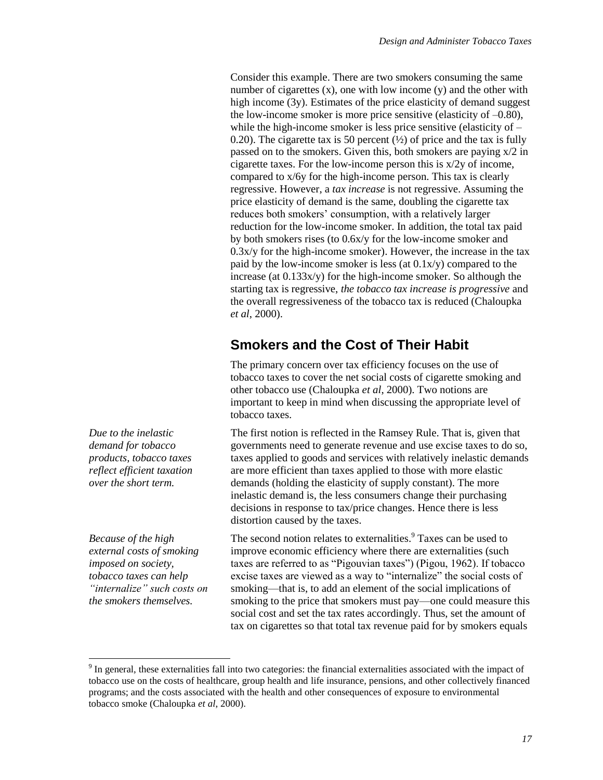Consider this example. There are two smokers consuming the same number of cigarettes  $(x)$ , one with low income  $(y)$  and the other with high income (3y). Estimates of the price elasticity of demand suggest the low-income smoker is more price sensitive (elasticity of –0.80), while the high-income smoker is less price sensitive (elasticity of  $-$ 0.20). The cigarette tax is 50 percent  $(\frac{1}{2})$  of price and the tax is fully passed on to the smokers. Given this, both smokers are paying x/2 in cigarette taxes. For the low-income person this is x/2y of income, compared to x/6y for the high-income person. This tax is clearly regressive. However, a *tax increase* is not regressive. Assuming the price elasticity of demand is the same, doubling the cigarette tax reduces both smokers' consumption, with a relatively larger reduction for the low-income smoker. In addition, the total tax paid by both smokers rises (to 0.6x/y for the low-income smoker and  $0.3x/y$  for the high-income smoker). However, the increase in the tax paid by the low-income smoker is less (at 0.1x/y) compared to the increase (at 0.133x/y) for the high-income smoker. So although the starting tax is regressive, *the tobacco tax increase is progressive* and the overall regressiveness of the tobacco tax is reduced (Chaloupka *et al*, 2000).

## **Smokers and the Cost of Their Habit**

The primary concern over tax efficiency focuses on the use of tobacco taxes to cover the net social costs of cigarette smoking and other tobacco use (Chaloupka *et al*, 2000). Two notions are important to keep in mind when discussing the appropriate level of tobacco taxes.

The first notion is reflected in the Ramsey Rule. That is, given that governments need to generate revenue and use excise taxes to do so, taxes applied to goods and services with relatively inelastic demands are more efficient than taxes applied to those with more elastic demands (holding the elasticity of supply constant). The more inelastic demand is, the less consumers change their purchasing decisions in response to tax/price changes. Hence there is less distortion caused by the taxes.

The second notion relates to externalities.<sup>9</sup> Taxes can be used to improve economic efficiency where there are externalities (such taxes are referred to as "Pigouvian taxes") (Pigou, 1962). If tobacco excise taxes are viewed as a way to "internalize" the social costs of smoking—that is, to add an element of the social implications of smoking to the price that smokers must pay—one could measure this social cost and set the tax rates accordingly. Thus, set the amount of tax on cigarettes so that total tax revenue paid for by smokers equals

*Due to the inelastic demand for tobacco products, tobacco taxes reflect efficient taxation over the short term.*

*Because of the high external costs of smoking imposed on society, tobacco taxes can help "internalize" such costs on the smokers themselves.*

 $\overline{a}$ 

 $9<sup>9</sup>$  In general, these externalities fall into two categories: the financial externalities associated with the impact of tobacco use on the costs of healthcare, group health and life insurance, pensions, and other collectively financed programs; and the costs associated with the health and other consequences of exposure to environmental tobacco smoke (Chaloupka *et al*, 2000).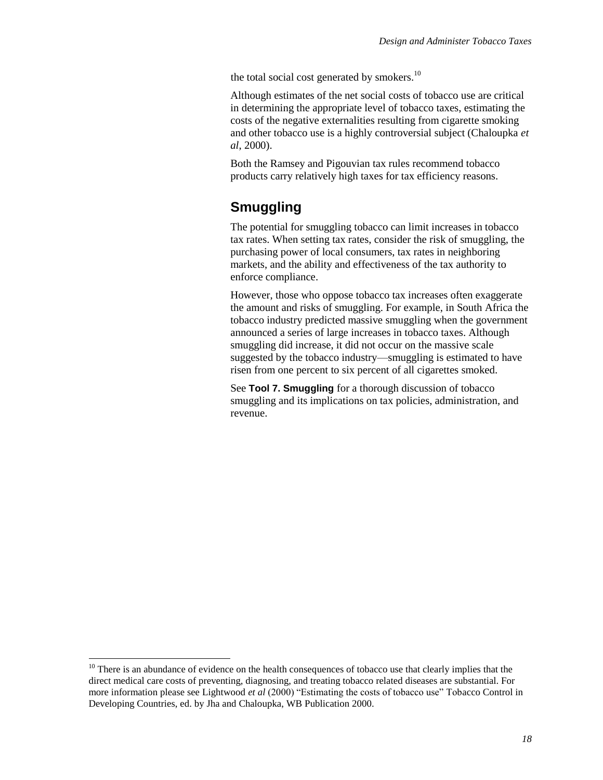the total social cost generated by smokers. $^{10}$ 

Although estimates of the net social costs of tobacco use are critical in determining the appropriate level of tobacco taxes, estimating the costs of the negative externalities resulting from cigarette smoking and other tobacco use is a highly controversial subject (Chaloupka *et al*, 2000).

Both the Ramsey and Pigouvian tax rules recommend tobacco products carry relatively high taxes for tax efficiency reasons.

## **Smuggling**

The potential for smuggling tobacco can limit increases in tobacco tax rates. When setting tax rates, consider the risk of smuggling, the purchasing power of local consumers, tax rates in neighboring markets, and the ability and effectiveness of the tax authority to enforce compliance.

However, those who oppose tobacco tax increases often exaggerate the amount and risks of smuggling. For example, in South Africa the tobacco industry predicted massive smuggling when the government announced a series of large increases in tobacco taxes. Although smuggling did increase, it did not occur on the massive scale suggested by the tobacco industry—smuggling is estimated to have risen from one percent to six percent of all cigarettes smoked.

See **Tool 7. Smuggling** for a thorough discussion of tobacco smuggling and its implications on tax policies, administration, and revenue.

 $\overline{a}$ 

 $10$  There is an abundance of evidence on the health consequences of tobacco use that clearly implies that the direct medical care costs of preventing, diagnosing, and treating tobacco related diseases are substantial. For more information please see Lightwood *et al* (2000) "Estimating the costs of tobacco use" Tobacco Control in Developing Countries, ed. by Jha and Chaloupka, WB Publication 2000.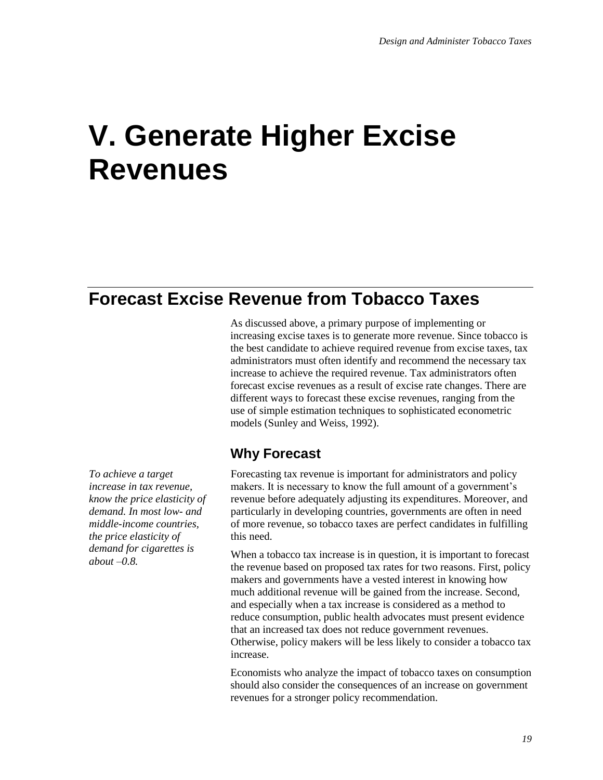## **V. Generate Higher Excise Revenues**

## **Forecast Excise Revenue from Tobacco Taxes**

As discussed above, a primary purpose of implementing or increasing excise taxes is to generate more revenue. Since tobacco is the best candidate to achieve required revenue from excise taxes, tax administrators must often identify and recommend the necessary tax increase to achieve the required revenue. Tax administrators often forecast excise revenues as a result of excise rate changes. There are different ways to forecast these excise revenues, ranging from the use of simple estimation techniques to sophisticated econometric models (Sunley and Weiss, 1992).

## **Why Forecast**

*To achieve a target increase in tax revenue, know the price elasticity of demand. In most low- and middle-income countries, the price elasticity of demand for cigarettes is about –0.8.*

Forecasting tax revenue is important for administrators and policy makers. It is necessary to know the full amount of a government's revenue before adequately adjusting its expenditures. Moreover, and particularly in developing countries, governments are often in need of more revenue, so tobacco taxes are perfect candidates in fulfilling this need.

When a tobacco tax increase is in question, it is important to forecast the revenue based on proposed tax rates for two reasons. First, policy makers and governments have a vested interest in knowing how much additional revenue will be gained from the increase. Second, and especially when a tax increase is considered as a method to reduce consumption, public health advocates must present evidence that an increased tax does not reduce government revenues. Otherwise, policy makers will be less likely to consider a tobacco tax increase.

Economists who analyze the impact of tobacco taxes on consumption should also consider the consequences of an increase on government revenues for a stronger policy recommendation.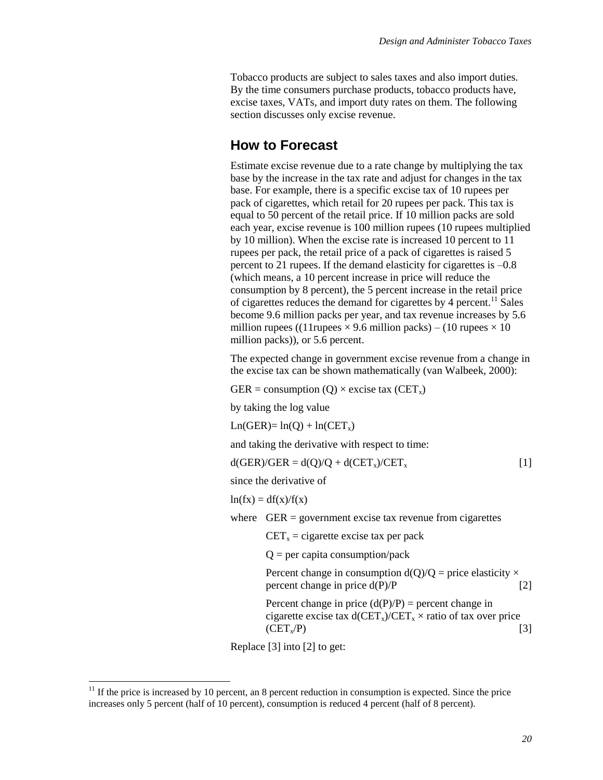Tobacco products are subject to sales taxes and also import duties. By the time consumers purchase products, tobacco products have, excise taxes, VATs, and import duty rates on them. The following section discusses only excise revenue.

#### **How to Forecast**

Estimate excise revenue due to a rate change by multiplying the tax base by the increase in the tax rate and adjust for changes in the tax base. For example, there is a specific excise tax of 10 rupees per pack of cigarettes, which retail for 20 rupees per pack. This tax is equal to 50 percent of the retail price. If 10 million packs are sold each year, excise revenue is 100 million rupees (10 rupees multiplied by 10 million). When the excise rate is increased 10 percent to 11 rupees per pack, the retail price of a pack of cigarettes is raised 5 percent to 21 rupees. If the demand elasticity for cigarettes is –0.8 (which means, a 10 percent increase in price will reduce the consumption by 8 percent), the 5 percent increase in the retail price of cigarettes reduces the demand for cigarettes by 4 percent.<sup>11</sup> Sales become 9.6 million packs per year, and tax revenue increases by 5.6 million rupees ((11 rupees  $\times$  9.6 million packs) – (10 rupees  $\times$  10 million packs)), or 5.6 percent.

The expected change in government excise revenue from a change in the excise tax can be shown mathematically (van Walbeek, 2000):

GER = consumption  $(Q) \times$  excise tax  $(CET_x)$ 

by taking the log value

 $Ln(GER) = ln(O) + ln(CET<sub>x</sub>)$ 

and taking the derivative with respect to time:

 $d(GER)/GER = d(Q)/Q + d(CET_x)/CET_x$  [1]

since the derivative of

 $ln(fx) = df(x)/f(x)$ 

where  $GER = government excise tax revenue from eigenettes$ 

 $CET_x =$  cigarette excise tax per pack

 $Q =$  per capita consumption/pack

Percent change in consumption  $d(O)/O$  = price elasticity  $\times$ percent change in price  $d(P)/P$  [2]

Percent change in price  $(d(P)/P)$  = percent change in cigarette excise tax  $d(CET_x)/CET_x \times$  ratio of tax over price  $(CET_x/P)$  [3]

Replace [3] into [2] to get:

l

 $11$  If the price is increased by 10 percent, an 8 percent reduction in consumption is expected. Since the price increases only 5 percent (half of 10 percent), consumption is reduced 4 percent (half of 8 percent).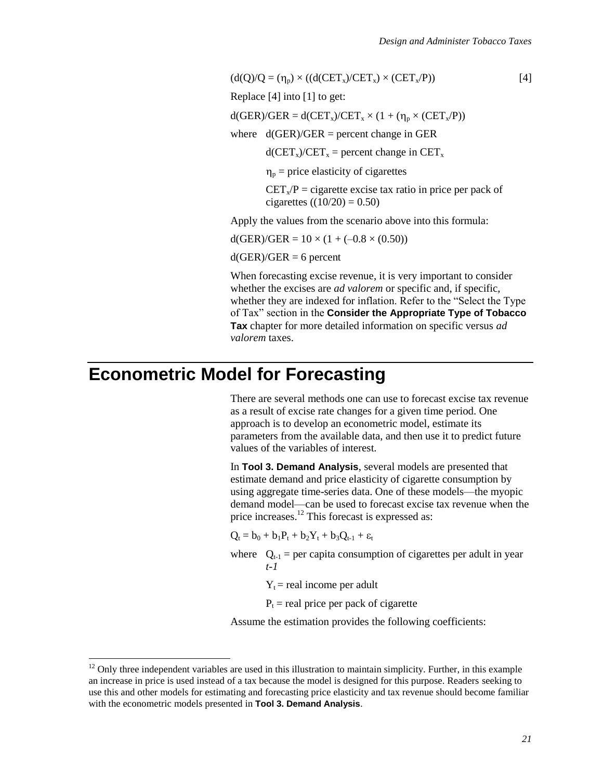$$
\lceil 4 \rceil
$$

 $(d(Q)/Q = (\eta_p) \times ((d(CET_x)/CET_x) \times (CET_x/P))$ Replace [4] into [1] to get:

 $d(GER)/GER = d(CET_x)/CET_x \times (1 + (\eta_n \times (CET_x/P))$ 

where  $d(GER)/GER$  = percent change in GER

 $d(CET_x)/CET_x$  = percent change in  $CET_x$ 

 $\eta_p$  = price elasticity of cigarettes

 $CET_x/P =$  cigarette excise tax ratio in price per pack of cigarettes  $((10/20) = 0.50)$ 

Apply the values from the scenario above into this formula:

 $d(GER)/GER = 10 \times (1 + (-0.8 \times (0.50)))$ 

 $d(GER)/GER = 6$  percent

When forecasting excise revenue, it is very important to consider whether the excises are *ad valorem* or specific and, if specific, whether they are indexed for inflation. Refer to the "Select the Type of Tax" section in the **Consider the Appropriate Type of Tobacco Tax** chapter for more detailed information on specific versus *ad valorem* taxes.

## **Econometric Model for Forecasting**

 $\overline{a}$ 

There are several methods one can use to forecast excise tax revenue as a result of excise rate changes for a given time period. One approach is to develop an econometric model, estimate its parameters from the available data, and then use it to predict future values of the variables of interest.

In **Tool 3. Demand Analysis**, several models are presented that estimate demand and price elasticity of cigarette consumption by using aggregate time-series data. One of these models—the myopic demand model—can be used to forecast excise tax revenue when the price increases.<sup>12</sup> This forecast is expressed as:

 $Q_t = b_0 + b_1P_t + b_2Y_t + b_3Q_{t-1} + \varepsilon_t$ 

- where  $Q_{t-1}$  = per capita consumption of cigarettes per adult in year *t-1*
	- $Y_t$  = real income per adult

 $P<sub>t</sub>$  = real price per pack of cigarette

Assume the estimation provides the following coefficients:

 $12$  Only three independent variables are used in this illustration to maintain simplicity. Further, in this example an increase in price is used instead of a tax because the model is designed for this purpose. Readers seeking to use this and other models for estimating and forecasting price elasticity and tax revenue should become familiar with the econometric models presented in **Tool 3. Demand Analysis**.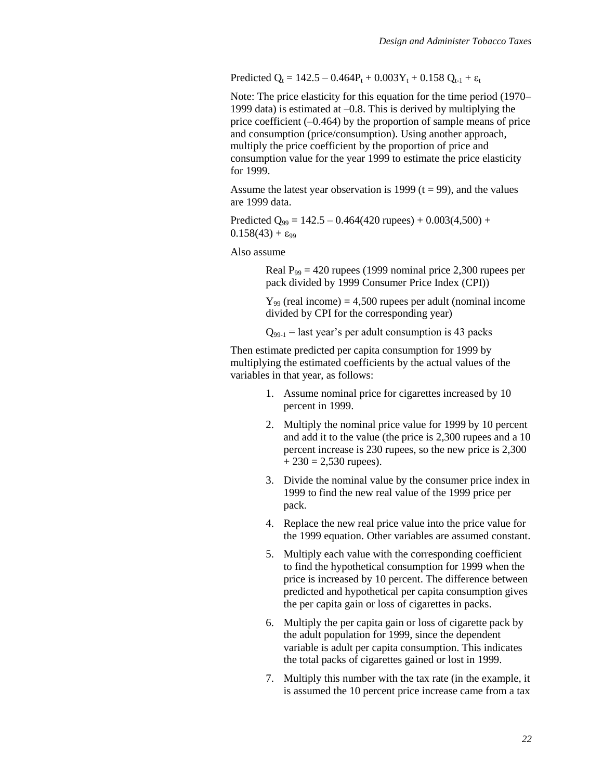Predicted  $Q_t = 142.5 - 0.464P_t + 0.003Y_t + 0.158 Q_{t-1} + \varepsilon_t$ 

Note: The price elasticity for this equation for the time period (1970– 1999 data) is estimated at –0.8. This is derived by multiplying the price coefficient (–0.464) by the proportion of sample means of price and consumption (price/consumption). Using another approach, multiply the price coefficient by the proportion of price and consumption value for the year 1999 to estimate the price elasticity for 1999.

Assume the latest year observation is 1999 ( $t = 99$ ), and the values are 1999 data.

Predicted  $Q_{99} = 142.5 - 0.464(420 \text{ rupees}) + 0.003(4,500) +$  $0.158(43) + \epsilon_{99}$ 

Also assume

Real  $P_{99} = 420$  rupees (1999 nominal price 2,300 rupees per pack divided by 1999 Consumer Price Index (CPI))

 $Y_{99}$  (real income) = 4,500 rupees per adult (nominal income divided by CPI for the corresponding year)

 $Q_{99-1}$  = last year's per adult consumption is 43 packs

Then estimate predicted per capita consumption for 1999 by multiplying the estimated coefficients by the actual values of the variables in that year, as follows:

- 1. Assume nominal price for cigarettes increased by 10 percent in 1999.
- 2. Multiply the nominal price value for 1999 by 10 percent and add it to the value (the price is 2,300 rupees and a 10 percent increase is 230 rupees, so the new price is 2,300  $+ 230 = 2,530$  rupees).
- 3. Divide the nominal value by the consumer price index in 1999 to find the new real value of the 1999 price per pack.
- 4. Replace the new real price value into the price value for the 1999 equation. Other variables are assumed constant.
- 5. Multiply each value with the corresponding coefficient to find the hypothetical consumption for 1999 when the price is increased by 10 percent. The difference between predicted and hypothetical per capita consumption gives the per capita gain or loss of cigarettes in packs.
- 6. Multiply the per capita gain or loss of cigarette pack by the adult population for 1999, since the dependent variable is adult per capita consumption. This indicates the total packs of cigarettes gained or lost in 1999.
- 7. Multiply this number with the tax rate (in the example, it is assumed the 10 percent price increase came from a tax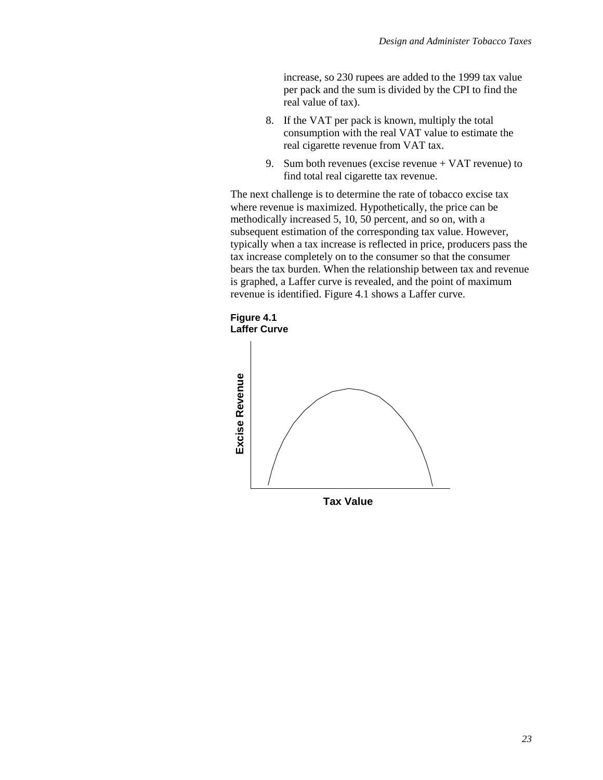increase, so 230 rupees are added to the 1999 tax value per pack and the sum is divided by the CPI to find the real value of tax).

- 8. If the VAT per pack is known, multiply the total consumption with the real VAT value to estimate the real cigarette revenue from VAT tax.
- 9. Sum both revenues (excise revenue + VAT revenue) to find total real cigarette tax revenue.

The next challenge is to determine the rate of tobacco excise tax where revenue is maximized. Hypothetically, the price can be methodically increased 5, 10, 50 percent, and so on, with a subsequent estimation of the corresponding tax value. However, typically when a tax increase is reflected in price, producers pass the tax increase completely on to the consumer so that the consumer bears the tax burden. When the relationship between tax and revenue is graphed, a Laffer curve is revealed, and the point of maximum revenue is identified. Figure 4.1 shows a Laffer curve.

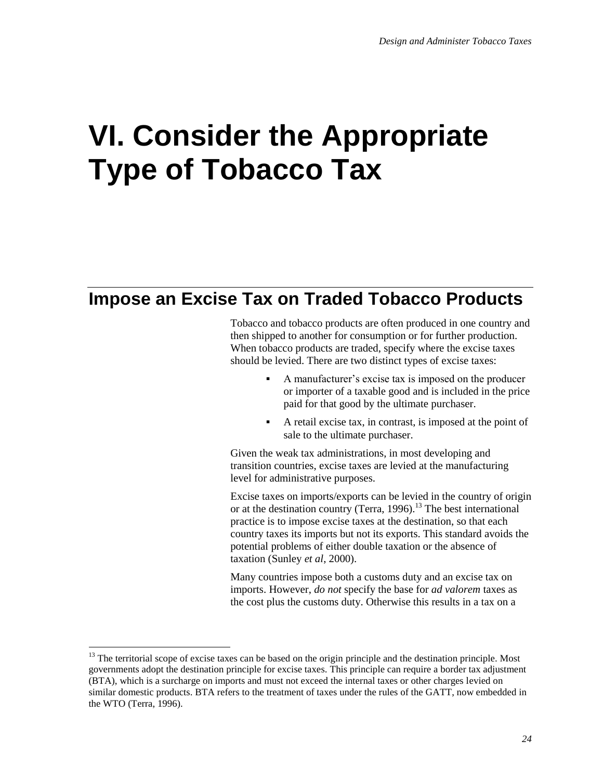## **VI. Consider the Appropriate Type of Tobacco Tax**

## **Impose an Excise Tax on Traded Tobacco Products**

Tobacco and tobacco products are often produced in one country and then shipped to another for consumption or for further production. When tobacco products are traded, specify where the excise taxes should be levied. There are two distinct types of excise taxes:

- A manufacturer's excise tax is imposed on the producer or importer of a taxable good and is included in the price paid for that good by the ultimate purchaser.
- A retail excise tax, in contrast, is imposed at the point of sale to the ultimate purchaser.

Given the weak tax administrations, in most developing and transition countries, excise taxes are levied at the manufacturing level for administrative purposes.

Excise taxes on imports/exports can be levied in the country of origin or at the destination country (Terra, 1996).<sup>13</sup> The best international practice is to impose excise taxes at the destination, so that each country taxes its imports but not its exports. This standard avoids the potential problems of either double taxation or the absence of taxation (Sunley *et al*, 2000).

Many countries impose both a customs duty and an excise tax on imports. However, *do not* specify the base for *ad valorem* taxes as the cost plus the customs duty. Otherwise this results in a tax on a

 $\overline{\phantom{a}}$ 

 $13$  The territorial scope of excise taxes can be based on the origin principle and the destination principle. Most governments adopt the destination principle for excise taxes. This principle can require a border tax adjustment (BTA), which is a surcharge on imports and must not exceed the internal taxes or other charges levied on similar domestic products. BTA refers to the treatment of taxes under the rules of the GATT, now embedded in the WTO (Terra, 1996).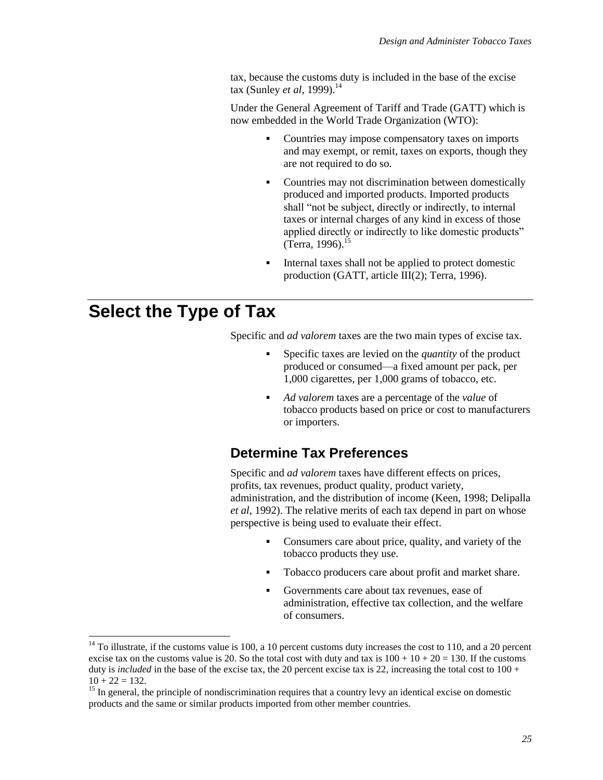tax, because the customs duty is included in the base of the excise tax (Sunley *et al*, 1999).<sup>14</sup>

Under the General Agreement of Tariff and Trade (GATT) which is now embedded in the World Trade Organization (WTO):

- Countries may impose compensatory taxes on imports and may exempt, or remit, taxes on exports, though they are not required to do so.
- Countries may not discrimination between domestically produced and imported products. Imported products shall "not be subject, directly or indirectly, to internal taxes or internal charges of any kind in excess of those applied directly or indirectly to like domestic products" (Terra, 1996).<sup>15</sup>
- Internal taxes shall not be applied to protect domestic production (GATT, article III(2); Terra, 1996).

## **Select the Type of Tax**

l

Specific and *ad valorem* taxes are the two main types of excise tax.

- Specific taxes are levied on the *quantity* of the product produced or consumed—a fixed amount per pack, per 1,000 cigarettes, per 1,000 grams of tobacco, etc.
- *Ad valorem* taxes are a percentage of the *value* of tobacco products based on price or cost to manufacturers or importers.

### **Determine Tax Preferences**

Specific and *ad valorem* taxes have different effects on prices, profits, tax revenues, product quality, product variety, administration, and the distribution of income (Keen, 1998; Delipalla *et al*, 1992). The relative merits of each tax depend in part on whose perspective is being used to evaluate their effect.

- Consumers care about price, quality, and variety of the tobacco products they use.
- Tobacco producers care about profit and market share.
- Governments care about tax revenues, ease of administration, effective tax collection, and the welfare of consumers.

 $14$  To illustrate, if the customs value is 100, a 10 percent customs duty increases the cost to 110, and a 20 percent excise tax on the customs value is 20. So the total cost with duty and tax is  $100 + 10 + 20 = 130$ . If the customs duty is *included* in the base of the excise tax, the 20 percent excise tax is 22, increasing the total cost to  $100 +$  $10 + 22 = 132.$ 

<sup>&</sup>lt;sup>15</sup> In general, the principle of nondiscrimination requires that a country levy an identical excise on domestic products and the same or similar products imported from other member countries.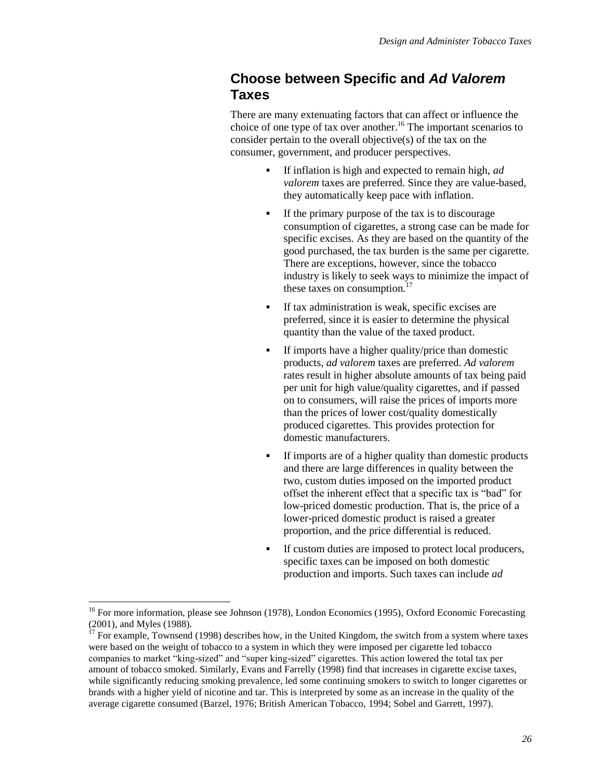### **Choose between Specific and** *Ad Valorem* **Taxes**

There are many extenuating factors that can affect or influence the choice of one type of tax over another.<sup>16</sup> The important scenarios to consider pertain to the overall objective(s) of the tax on the consumer, government, and producer perspectives.

- If inflation is high and expected to remain high, *ad valorem* taxes are preferred. Since they are value-based, they automatically keep pace with inflation.
- If the primary purpose of the tax is to discourage consumption of cigarettes, a strong case can be made for specific excises. As they are based on the quantity of the good purchased, the tax burden is the same per cigarette. There are exceptions, however, since the tobacco industry is likely to seek ways to minimize the impact of these taxes on consumption. $^{17}$
- If tax administration is weak, specific excises are preferred, since it is easier to determine the physical quantity than the value of the taxed product.
- If imports have a higher quality/price than domestic products, *ad valorem* taxes are preferred. *Ad valorem* rates result in higher absolute amounts of tax being paid per unit for high value/quality cigarettes, and if passed on to consumers, will raise the prices of imports more than the prices of lower cost/quality domestically produced cigarettes. This provides protection for domestic manufacturers.
- If imports are of a higher quality than domestic products and there are large differences in quality between the two, custom duties imposed on the imported product offset the inherent effect that a specific tax is "bad" for low-priced domestic production. That is, the price of a lower-priced domestic product is raised a greater proportion, and the price differential is reduced.
- If custom duties are imposed to protect local producers, specific taxes can be imposed on both domestic production and imports. Such taxes can include *ad*

l

<sup>&</sup>lt;sup>16</sup> For more information, please see Johnson (1978), London Economics (1995), Oxford Economic Forecasting (2001), and Myles (1988).

<sup>&</sup>lt;sup>17</sup> For example, Townsend (1998) describes how, in the United Kingdom, the switch from a system where taxes were based on the weight of tobacco to a system in which they were imposed per cigarette led tobacco companies to market "king-sized" and "super king-sized" cigarettes. This action lowered the total tax per amount of tobacco smoked. Similarly, Evans and Farrelly (1998) find that increases in cigarette excise taxes, while significantly reducing smoking prevalence, led some continuing smokers to switch to longer cigarettes or brands with a higher yield of nicotine and tar. This is interpreted by some as an increase in the quality of the average cigarette consumed (Barzel, 1976; British American Tobacco, 1994; Sobel and Garrett, 1997).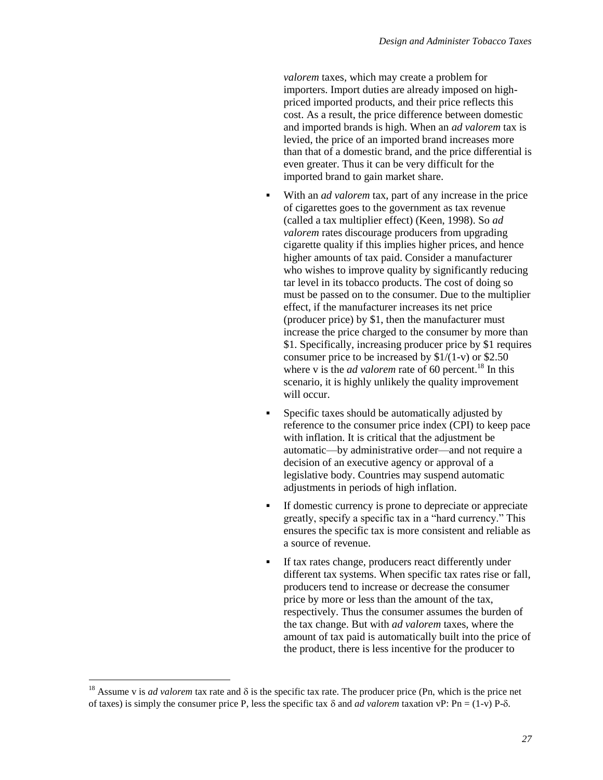*valorem* taxes, which may create a problem for importers. Import duties are already imposed on highpriced imported products, and their price reflects this cost. As a result, the price difference between domestic and imported brands is high. When an *ad valorem* tax is levied, the price of an imported brand increases more than that of a domestic brand, and the price differential is even greater. Thus it can be very difficult for the imported brand to gain market share.

- With an *ad valorem* tax, part of any increase in the price of cigarettes goes to the government as tax revenue (called a tax multiplier effect) (Keen, 1998). So *ad valorem* rates discourage producers from upgrading cigarette quality if this implies higher prices, and hence higher amounts of tax paid. Consider a manufacturer who wishes to improve quality by significantly reducing tar level in its tobacco products. The cost of doing so must be passed on to the consumer. Due to the multiplier effect, if the manufacturer increases its net price (producer price) by \$1, then the manufacturer must increase the price charged to the consumer by more than \$1. Specifically, increasing producer price by \$1 requires consumer price to be increased by  $$1/(1-v)$  or  $$2.50$ where v is the *ad valorem* rate of 60 percent.<sup>18</sup> In this scenario, it is highly unlikely the quality improvement will occur.
- Specific taxes should be automatically adjusted by reference to the consumer price index (CPI) to keep pace with inflation. It is critical that the adjustment be automatic—by administrative order—and not require a decision of an executive agency or approval of a legislative body. Countries may suspend automatic adjustments in periods of high inflation.
- If domestic currency is prone to depreciate or appreciate greatly, specify a specific tax in a "hard currency." This ensures the specific tax is more consistent and reliable as a source of revenue.
- If tax rates change, producers react differently under different tax systems. When specific tax rates rise or fall, producers tend to increase or decrease the consumer price by more or less than the amount of the tax, respectively. Thus the consumer assumes the burden of the tax change. But with *ad valorem* taxes, where the amount of tax paid is automatically built into the price of the product, there is less incentive for the producer to

 $\overline{\phantom{a}}$ 

<sup>&</sup>lt;sup>18</sup> Assume v is *ad valorem* tax rate and  $\delta$  is the specific tax rate. The producer price (Pn, which is the price net of taxes) is simply the consumer price P, less the specific tax  $\delta$  and *ad valorem* taxation vP: Pn = (1-v) P- $\delta$ .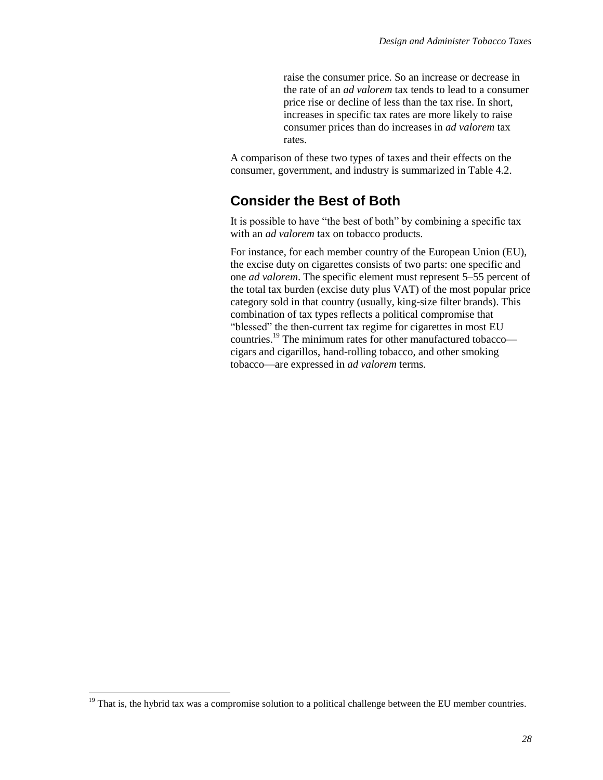raise the consumer price. So an increase or decrease in the rate of an *ad valorem* tax tends to lead to a consumer price rise or decline of less than the tax rise. In short, increases in specific tax rates are more likely to raise consumer prices than do increases in *ad valorem* tax rates.

A comparison of these two types of taxes and their effects on the consumer, government, and industry is summarized in Table 4.2.

### **Consider the Best of Both**

It is possible to have "the best of both" by combining a specific tax with an *ad valorem* tax on tobacco products.

For instance, for each member country of the European Union (EU), the excise duty on cigarettes consists of two parts: one specific and one *ad valorem*. The specific element must represent 5–55 percent of the total tax burden (excise duty plus VAT) of the most popular price category sold in that country (usually, king-size filter brands). This combination of tax types reflects a political compromise that "blessed" the then-current tax regime for cigarettes in most EU countries.<sup>19</sup> The minimum rates for other manufactured tobacco cigars and cigarillos, hand-rolling tobacco, and other smoking tobacco—are expressed in *ad valorem* terms.

 $\overline{\phantom{a}}$ 

<sup>&</sup>lt;sup>19</sup> That is, the hybrid tax was a compromise solution to a political challenge between the EU member countries.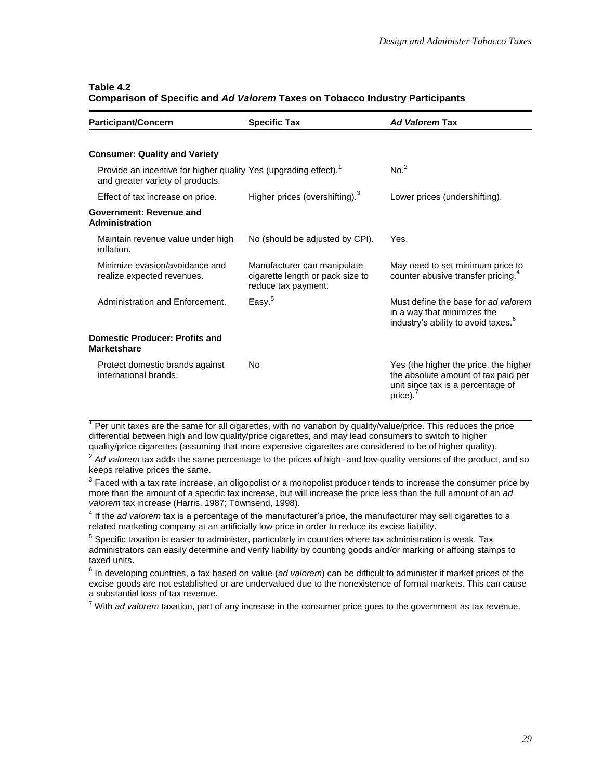| Table 4.2                                                                           |  |
|-------------------------------------------------------------------------------------|--|
| <b>Comparison of Specific and Ad Valorem Taxes on Tobacco Industry Participants</b> |  |

| <b>Participant/Concern</b>                                                                                       | <b>Specific Tax</b>                                                                    | <b>Ad Valorem Tax</b>                                                                                                         |
|------------------------------------------------------------------------------------------------------------------|----------------------------------------------------------------------------------------|-------------------------------------------------------------------------------------------------------------------------------|
|                                                                                                                  |                                                                                        |                                                                                                                               |
| <b>Consumer: Quality and Variety</b>                                                                             |                                                                                        |                                                                                                                               |
| Provide an incentive for higher quality Yes (upgrading effect). <sup>1</sup><br>and greater variety of products. |                                                                                        | No. <sup>2</sup>                                                                                                              |
| Effect of tax increase on price.                                                                                 | Higher prices (overshifting). <sup>3</sup>                                             | Lower prices (undershifting).                                                                                                 |
| Government: Revenue and<br>Administration                                                                        |                                                                                        |                                                                                                                               |
| Maintain revenue value under high<br>inflation.                                                                  | No (should be adjusted by CPI).                                                        | Yes.                                                                                                                          |
| Minimize evasion/avoidance and<br>realize expected revenues.                                                     | Manufacturer can manipulate<br>cigarette length or pack size to<br>reduce tax payment. | May need to set minimum price to<br>counter abusive transfer pricing. <sup>4</sup>                                            |
| Administration and Enforcement.                                                                                  | Easy. <sup>5</sup>                                                                     | Must define the base for ad valorem<br>in a way that minimizes the<br>industry's ability to avoid taxes. <sup>6</sup>         |
| <b>Domestic Producer: Profits and</b><br><b>Marketshare</b>                                                      |                                                                                        |                                                                                                                               |
| Protect domestic brands against<br>international brands.                                                         | No                                                                                     | Yes (the higher the price, the higher<br>the absolute amount of tax paid per<br>unit since tax is a percentage of<br>price).' |

 $1$  Per unit taxes are the same for all cigarettes, with no variation by quality/value/price. This reduces the price differential between high and low quality/price cigarettes, and may lead consumers to switch to higher quality/price cigarettes (assuming that more expensive cigarettes are considered to be of higher quality).

<sup>2</sup> Ad valorem tax adds the same percentage to the prices of high- and low-quality versions of the product, and so keeps relative prices the same.

 $^3$  Faced with a tax rate increase, an oligopolist or a monopolist producer tends to increase the consumer price by more than the amount of a specific tax increase, but will increase the price less than the full amount of an *ad valorem* tax increase (Harris, 1987; Townsend, 1998).

4 If the *ad valorem* tax is a percentage of the manufacturer's price, the manufacturer may sell cigarettes to a related marketing company at an artificially low price in order to reduce its excise liability.

 $<sup>5</sup>$  Specific taxation is easier to administer, particularly in countries where tax administration is weak. Tax</sup> administrators can easily determine and verify liability by counting goods and/or marking or affixing stamps to taxed units.

6 In developing countries, a tax based on value (*ad valorem*) can be difficult to administer if market prices of the excise goods are not established or are undervalued due to the nonexistence of formal markets. This can cause a substantial loss of tax revenue.

<sup>7</sup> With *ad valorem* taxation, part of any increase in the consumer price goes to the government as tax revenue.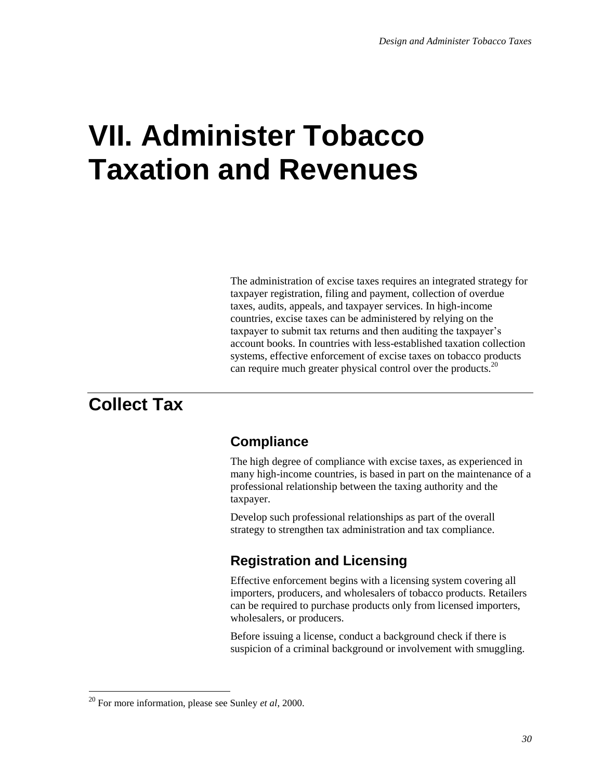## **VII. Administer Tobacco Taxation and Revenues**

The administration of excise taxes requires an integrated strategy for taxpayer registration, filing and payment, collection of overdue taxes, audits, appeals, and taxpayer services. In high-income countries, excise taxes can be administered by relying on the taxpayer to submit tax returns and then auditing the taxpayer's account books. In countries with less-established taxation collection systems, effective enforcement of excise taxes on tobacco products can require much greater physical control over the products.<sup>20</sup>

## **Collect Tax**

 $\overline{a}$ 

## **Compliance**

The high degree of compliance with excise taxes, as experienced in many high-income countries, is based in part on the maintenance of a professional relationship between the taxing authority and the taxpayer.

Develop such professional relationships as part of the overall strategy to strengthen tax administration and tax compliance.

## **Registration and Licensing**

Effective enforcement begins with a licensing system covering all importers, producers, and wholesalers of tobacco products. Retailers can be required to purchase products only from licensed importers, wholesalers, or producers.

Before issuing a license, conduct a background check if there is suspicion of a criminal background or involvement with smuggling.

<sup>20</sup> For more information, please see Sunley *et al*, 2000.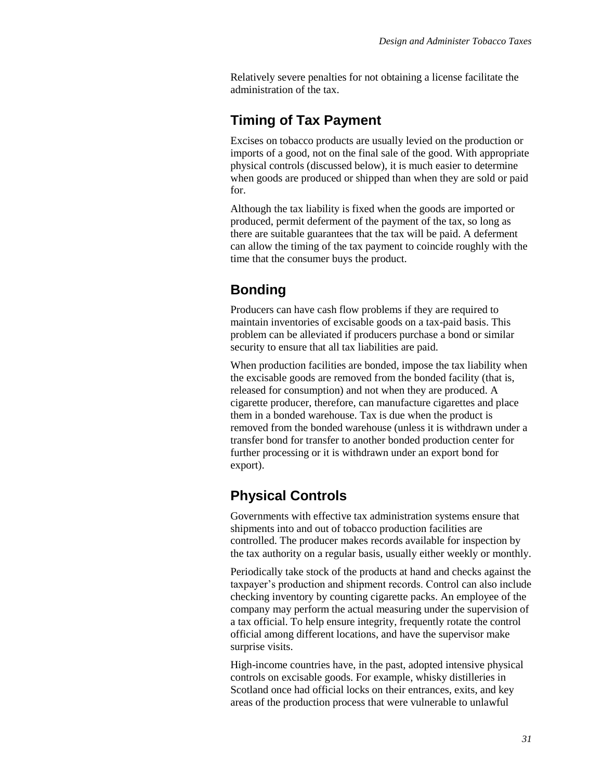Relatively severe penalties for not obtaining a license facilitate the administration of the tax.

## **Timing of Tax Payment**

Excises on tobacco products are usually levied on the production or imports of a good, not on the final sale of the good. With appropriate physical controls (discussed below), it is much easier to determine when goods are produced or shipped than when they are sold or paid for.

Although the tax liability is fixed when the goods are imported or produced, permit deferment of the payment of the tax, so long as there are suitable guarantees that the tax will be paid. A deferment can allow the timing of the tax payment to coincide roughly with the time that the consumer buys the product.

## **Bonding**

Producers can have cash flow problems if they are required to maintain inventories of excisable goods on a tax-paid basis. This problem can be alleviated if producers purchase a bond or similar security to ensure that all tax liabilities are paid.

When production facilities are bonded, impose the tax liability when the excisable goods are removed from the bonded facility (that is, released for consumption) and not when they are produced. A cigarette producer, therefore, can manufacture cigarettes and place them in a bonded warehouse. Tax is due when the product is removed from the bonded warehouse (unless it is withdrawn under a transfer bond for transfer to another bonded production center for further processing or it is withdrawn under an export bond for export).

## **Physical Controls**

Governments with effective tax administration systems ensure that shipments into and out of tobacco production facilities are controlled. The producer makes records available for inspection by the tax authority on a regular basis, usually either weekly or monthly.

Periodically take stock of the products at hand and checks against the taxpayer's production and shipment records. Control can also include checking inventory by counting cigarette packs. An employee of the company may perform the actual measuring under the supervision of a tax official. To help ensure integrity, frequently rotate the control official among different locations, and have the supervisor make surprise visits.

High-income countries have, in the past, adopted intensive physical controls on excisable goods. For example, whisky distilleries in Scotland once had official locks on their entrances, exits, and key areas of the production process that were vulnerable to unlawful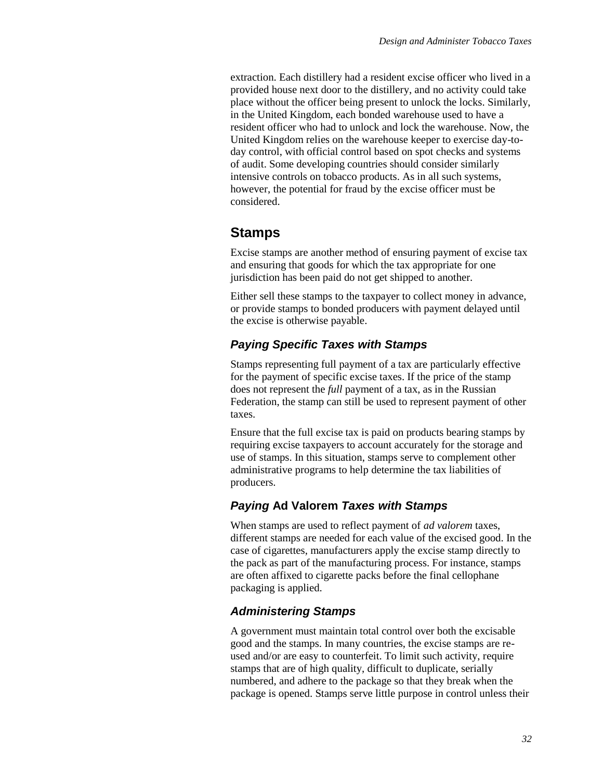extraction. Each distillery had a resident excise officer who lived in a provided house next door to the distillery, and no activity could take place without the officer being present to unlock the locks. Similarly, in the United Kingdom, each bonded warehouse used to have a resident officer who had to unlock and lock the warehouse. Now, the United Kingdom relies on the warehouse keeper to exercise day-today control, with official control based on spot checks and systems of audit. Some developing countries should consider similarly intensive controls on tobacco products. As in all such systems, however, the potential for fraud by the excise officer must be considered.

### **Stamps**

Excise stamps are another method of ensuring payment of excise tax and ensuring that goods for which the tax appropriate for one jurisdiction has been paid do not get shipped to another.

Either sell these stamps to the taxpayer to collect money in advance, or provide stamps to bonded producers with payment delayed until the excise is otherwise payable.

#### *Paying Specific Taxes with Stamps*

Stamps representing full payment of a tax are particularly effective for the payment of specific excise taxes. If the price of the stamp does not represent the *full* payment of a tax, as in the Russian Federation, the stamp can still be used to represent payment of other taxes.

Ensure that the full excise tax is paid on products bearing stamps by requiring excise taxpayers to account accurately for the storage and use of stamps. In this situation, stamps serve to complement other administrative programs to help determine the tax liabilities of producers.

#### *Paying* **Ad Valorem** *Taxes with Stamps*

When stamps are used to reflect payment of *ad valorem* taxes, different stamps are needed for each value of the excised good. In the case of cigarettes, manufacturers apply the excise stamp directly to the pack as part of the manufacturing process. For instance, stamps are often affixed to cigarette packs before the final cellophane packaging is applied.

#### *Administering Stamps*

A government must maintain total control over both the excisable good and the stamps. In many countries, the excise stamps are reused and/or are easy to counterfeit. To limit such activity, require stamps that are of high quality, difficult to duplicate, serially numbered, and adhere to the package so that they break when the package is opened. Stamps serve little purpose in control unless their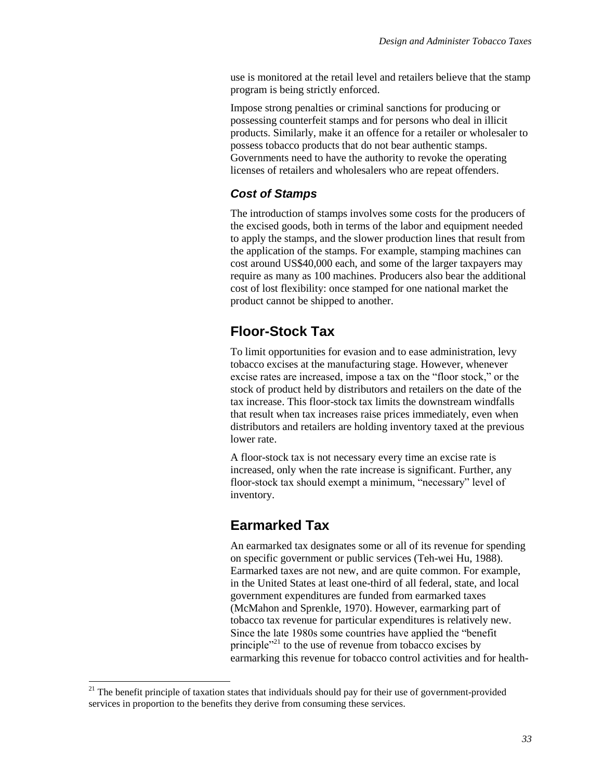use is monitored at the retail level and retailers believe that the stamp program is being strictly enforced.

Impose strong penalties or criminal sanctions for producing or possessing counterfeit stamps and for persons who deal in illicit products. Similarly, make it an offence for a retailer or wholesaler to possess tobacco products that do not bear authentic stamps. Governments need to have the authority to revoke the operating licenses of retailers and wholesalers who are repeat offenders.

#### *Cost of Stamps*

The introduction of stamps involves some costs for the producers of the excised goods, both in terms of the labor and equipment needed to apply the stamps, and the slower production lines that result from the application of the stamps. For example, stamping machines can cost around US\$40,000 each, and some of the larger taxpayers may require as many as 100 machines. Producers also bear the additional cost of lost flexibility: once stamped for one national market the product cannot be shipped to another.

## **Floor-Stock Tax**

To limit opportunities for evasion and to ease administration, levy tobacco excises at the manufacturing stage. However, whenever excise rates are increased, impose a tax on the "floor stock," or the stock of product held by distributors and retailers on the date of the tax increase. This floor-stock tax limits the downstream windfalls that result when tax increases raise prices immediately, even when distributors and retailers are holding inventory taxed at the previous lower rate.

A floor-stock tax is not necessary every time an excise rate is increased, only when the rate increase is significant. Further, any floor-stock tax should exempt a minimum, "necessary" level of inventory.

## **Earmarked Tax**

An earmarked tax designates some or all of its revenue for spending on specific government or public services (Teh-wei Hu, 1988). Earmarked taxes are not new, and are quite common. For example, in the United States at least one-third of all federal, state, and local government expenditures are funded from earmarked taxes (McMahon and Sprenkle, 1970). However, earmarking part of tobacco tax revenue for particular expenditures is relatively new. Since the late 1980s some countries have applied the "benefit principle"<sup>21</sup> to the use of revenue from tobacco excises by earmarking this revenue for tobacco control activities and for health-

l

 $21$  The benefit principle of taxation states that individuals should pay for their use of government-provided services in proportion to the benefits they derive from consuming these services.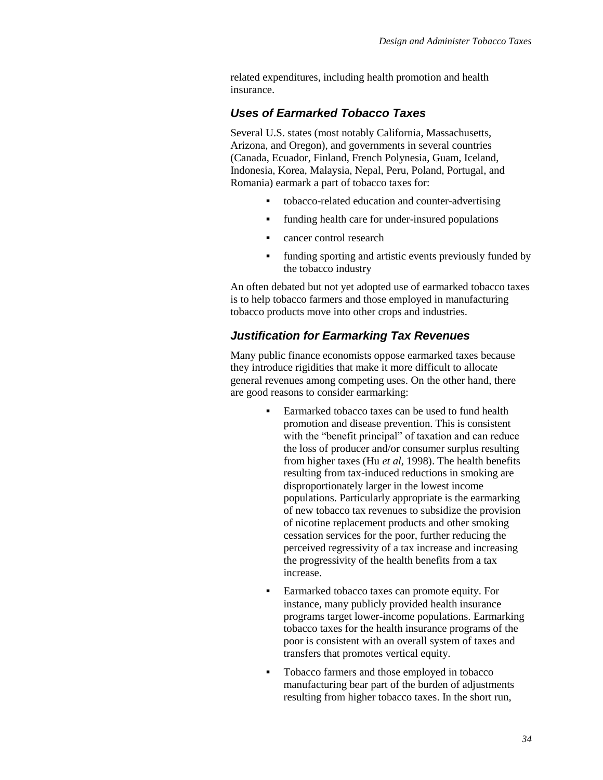related expenditures, including health promotion and health insurance.

#### *Uses of Earmarked Tobacco Taxes*

Several U.S. states (most notably California, Massachusetts, Arizona, and Oregon), and governments in several countries (Canada, Ecuador, Finland, French Polynesia, Guam, Iceland, Indonesia, Korea, Malaysia, Nepal, Peru, Poland, Portugal, and Romania) earmark a part of tobacco taxes for:

- tobacco-related education and counter-advertising
- funding health care for under-insured populations
- **cancer control research**
- funding sporting and artistic events previously funded by the tobacco industry

An often debated but not yet adopted use of earmarked tobacco taxes is to help tobacco farmers and those employed in manufacturing tobacco products move into other crops and industries.

#### *Justification for Earmarking Tax Revenues*

Many public finance economists oppose earmarked taxes because they introduce rigidities that make it more difficult to allocate general revenues among competing uses. On the other hand, there are good reasons to consider earmarking:

- Earmarked tobacco taxes can be used to fund health promotion and disease prevention. This is consistent with the "benefit principal" of taxation and can reduce the loss of producer and/or consumer surplus resulting from higher taxes (Hu *et al,* 1998). The health benefits resulting from tax-induced reductions in smoking are disproportionately larger in the lowest income populations. Particularly appropriate is the earmarking of new tobacco tax revenues to subsidize the provision of nicotine replacement products and other smoking cessation services for the poor, further reducing the perceived regressivity of a tax increase and increasing the progressivity of the health benefits from a tax increase.
- Earmarked tobacco taxes can promote equity. For instance, many publicly provided health insurance programs target lower-income populations. Earmarking tobacco taxes for the health insurance programs of the poor is consistent with an overall system of taxes and transfers that promotes vertical equity.
- Tobacco farmers and those employed in tobacco manufacturing bear part of the burden of adjustments resulting from higher tobacco taxes. In the short run,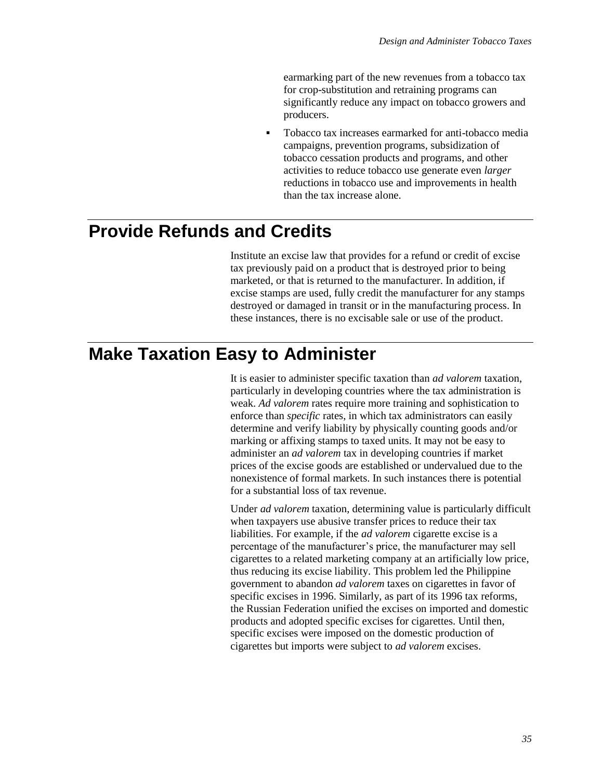earmarking part of the new revenues from a tobacco tax for crop-substitution and retraining programs can significantly reduce any impact on tobacco growers and producers.

 Tobacco tax increases earmarked for anti-tobacco media campaigns, prevention programs, subsidization of tobacco cessation products and programs, and other activities to reduce tobacco use generate even *larger* reductions in tobacco use and improvements in health than the tax increase alone.

## **Provide Refunds and Credits**

Institute an excise law that provides for a refund or credit of excise tax previously paid on a product that is destroyed prior to being marketed, or that is returned to the manufacturer. In addition, if excise stamps are used, fully credit the manufacturer for any stamps destroyed or damaged in transit or in the manufacturing process. In these instances, there is no excisable sale or use of the product.

## **Make Taxation Easy to Administer**

It is easier to administer specific taxation than *ad valorem* taxation, particularly in developing countries where the tax administration is weak. *Ad valorem* rates require more training and sophistication to enforce than *specific* rates, in which tax administrators can easily determine and verify liability by physically counting goods and/or marking or affixing stamps to taxed units. It may not be easy to administer an *ad valorem* tax in developing countries if market prices of the excise goods are established or undervalued due to the nonexistence of formal markets. In such instances there is potential for a substantial loss of tax revenue.

Under *ad valorem* taxation, determining value is particularly difficult when taxpayers use abusive transfer prices to reduce their tax liabilities. For example, if the *ad valorem* cigarette excise is a percentage of the manufacturer's price, the manufacturer may sell cigarettes to a related marketing company at an artificially low price, thus reducing its excise liability. This problem led the Philippine government to abandon *ad valorem* taxes on cigarettes in favor of specific excises in 1996. Similarly, as part of its 1996 tax reforms, the Russian Federation unified the excises on imported and domestic products and adopted specific excises for cigarettes. Until then, specific excises were imposed on the domestic production of cigarettes but imports were subject to *ad valorem* excises.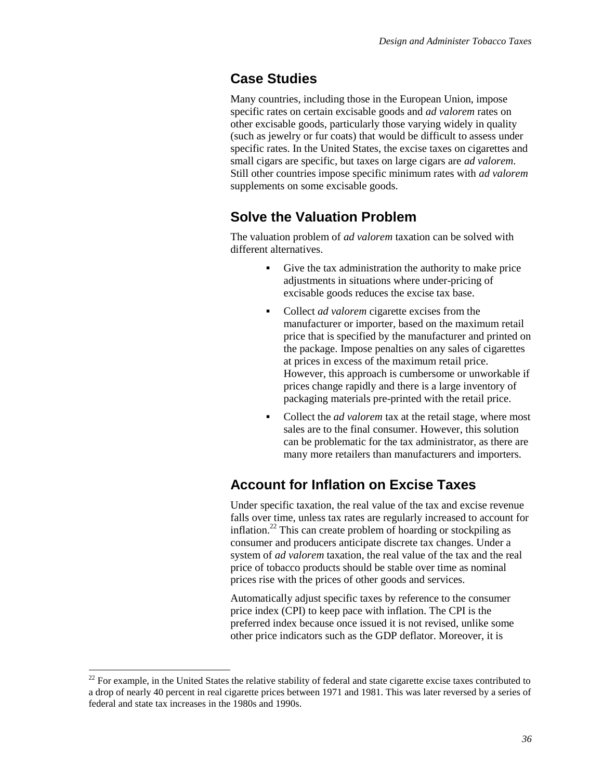### **Case Studies**

Many countries, including those in the European Union, impose specific rates on certain excisable goods and *ad valorem* rates on other excisable goods, particularly those varying widely in quality (such as jewelry or fur coats) that would be difficult to assess under specific rates. In the United States, the excise taxes on cigarettes and small cigars are specific, but taxes on large cigars are *ad valorem*. Still other countries impose specific minimum rates with *ad valorem* supplements on some excisable goods.

### **Solve the Valuation Problem**

The valuation problem of *ad valorem* taxation can be solved with different alternatives.

- Give the tax administration the authority to make price adjustments in situations where under-pricing of excisable goods reduces the excise tax base.
- Collect *ad valorem* cigarette excises from the manufacturer or importer, based on the maximum retail price that is specified by the manufacturer and printed on the package. Impose penalties on any sales of cigarettes at prices in excess of the maximum retail price. However, this approach is cumbersome or unworkable if prices change rapidly and there is a large inventory of packaging materials pre-printed with the retail price.
- Collect the *ad valorem* tax at the retail stage, where most sales are to the final consumer. However, this solution can be problematic for the tax administrator, as there are many more retailers than manufacturers and importers.

## **Account for Inflation on Excise Taxes**

Under specific taxation, the real value of the tax and excise revenue falls over time, unless tax rates are regularly increased to account for inflation.<sup>22</sup> This can create problem of hoarding or stockpiling as consumer and producers anticipate discrete tax changes. Under a system of *ad valorem* taxation, the real value of the tax and the real price of tobacco products should be stable over time as nominal prices rise with the prices of other goods and services.

Automatically adjust specific taxes by reference to the consumer price index (CPI) to keep pace with inflation. The CPI is the preferred index because once issued it is not revised, unlike some other price indicators such as the GDP deflator. Moreover, it is

l

 $22$  For example, in the United States the relative stability of federal and state cigarette excise taxes contributed to a drop of nearly 40 percent in real cigarette prices between 1971 and 1981. This was later reversed by a series of federal and state tax increases in the 1980s and 1990s.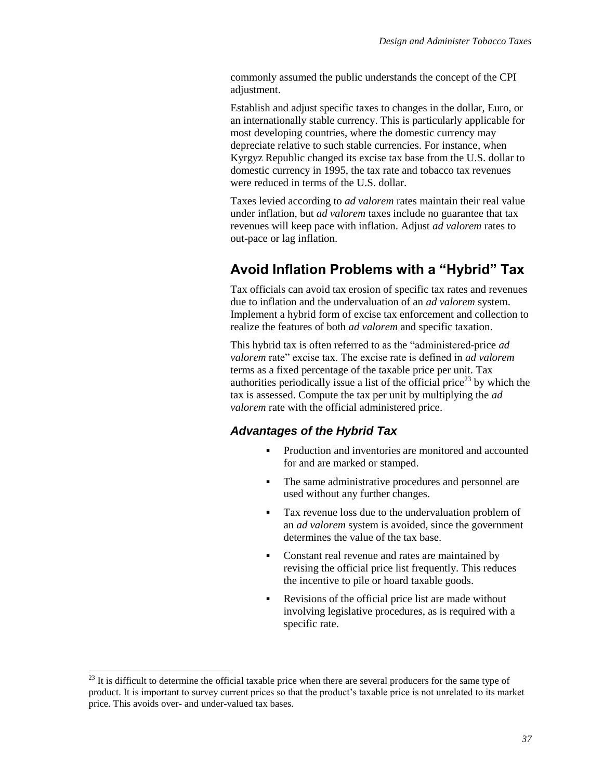commonly assumed the public understands the concept of the CPI adjustment.

Establish and adjust specific taxes to changes in the dollar, Euro, or an internationally stable currency. This is particularly applicable for most developing countries, where the domestic currency may depreciate relative to such stable currencies. For instance, when Kyrgyz Republic changed its excise tax base from the U.S. dollar to domestic currency in 1995, the tax rate and tobacco tax revenues were reduced in terms of the U.S. dollar.

Taxes levied according to *ad valorem* rates maintain their real value under inflation, but *ad valorem* taxes include no guarantee that tax revenues will keep pace with inflation. Adjust *ad valorem* rates to out-pace or lag inflation.

## **Avoid Inflation Problems with a "Hybrid" Tax**

Tax officials can avoid tax erosion of specific tax rates and revenues due to inflation and the undervaluation of an *ad valorem* system. Implement a hybrid form of excise tax enforcement and collection to realize the features of both *ad valorem* and specific taxation.

This hybrid tax is often referred to as the "administered-price *ad valorem* rate" excise tax. The excise rate is defined in *ad valorem* terms as a fixed percentage of the taxable price per unit. Tax authorities periodically issue a list of the official price<sup>23</sup> by which the tax is assessed. Compute the tax per unit by multiplying the *ad valorem* rate with the official administered price.

#### *Advantages of the Hybrid Tax*

- Production and inventories are monitored and accounted for and are marked or stamped.
- The same administrative procedures and personnel are used without any further changes.
- Tax revenue loss due to the undervaluation problem of an *ad valorem* system is avoided, since the government determines the value of the tax base.
- Constant real revenue and rates are maintained by revising the official price list frequently. This reduces the incentive to pile or hoard taxable goods.
- Revisions of the official price list are made without involving legislative procedures, as is required with a specific rate.

l

 $^{23}$  It is difficult to determine the official taxable price when there are several producers for the same type of product. It is important to survey current prices so that the product's taxable price is not unrelated to its market price. This avoids over- and under-valued tax bases.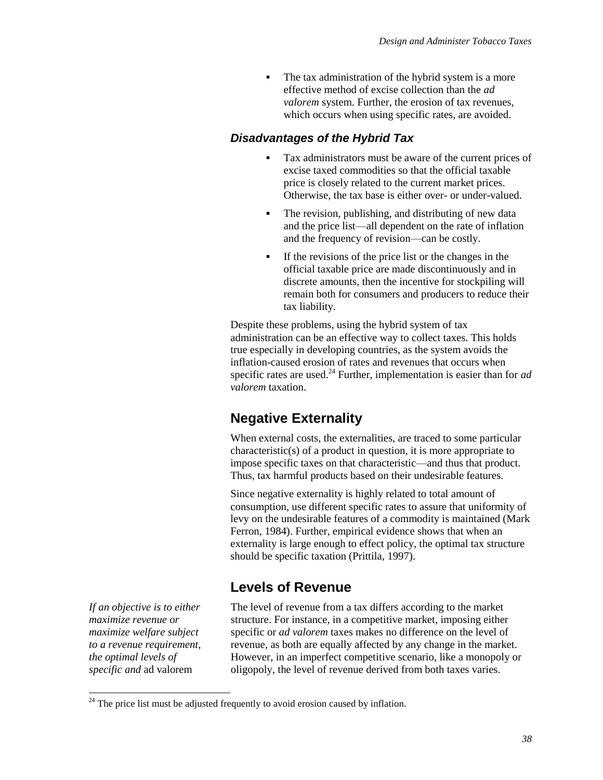The tax administration of the hybrid system is a more effective method of excise collection than the *ad valorem* system. Further, the erosion of tax revenues, which occurs when using specific rates, are avoided.

#### *Disadvantages of the Hybrid Tax*

- Tax administrators must be aware of the current prices of excise taxed commodities so that the official taxable price is closely related to the current market prices. Otherwise, the tax base is either over- or under-valued.
- The revision, publishing, and distributing of new data and the price list—all dependent on the rate of inflation and the frequency of revision—can be costly.
- If the revisions of the price list or the changes in the official taxable price are made discontinuously and in discrete amounts, then the incentive for stockpiling will remain both for consumers and producers to reduce their tax liability.

Despite these problems, using the hybrid system of tax administration can be an effective way to collect taxes. This holds true especially in developing countries, as the system avoids the inflation-caused erosion of rates and revenues that occurs when specific rates are used.<sup>24</sup> Further, implementation is easier than for *ad valorem* taxation.

## **Negative Externality**

When external costs, the externalities, are traced to some particular characteristic(s) of a product in question, it is more appropriate to impose specific taxes on that characteristic—and thus that product. Thus, tax harmful products based on their undesirable features.

Since negative externality is highly related to total amount of consumption, use different specific rates to assure that uniformity of levy on the undesirable features of a commodity is maintained (Mark Ferron, 1984). Further, empirical evidence shows that when an externality is large enough to effect policy, the optimal tax structure should be specific taxation (Prittila, 1997).

### **Levels of Revenue**

*If an objective is to either maximize revenue or maximize welfare subject to a revenue requirement, the optimal levels of specific and* ad valorem

 $\overline{\phantom{a}}$ 

The level of revenue from a tax differs according to the market structure. For instance, in a competitive market, imposing either specific or *ad valorem* taxes makes no difference on the level of revenue, as both are equally affected by any change in the market. However, in an imperfect competitive scenario, like a monopoly or oligopoly, the level of revenue derived from both taxes varies.

 $24$  The price list must be adjusted frequently to avoid erosion caused by inflation.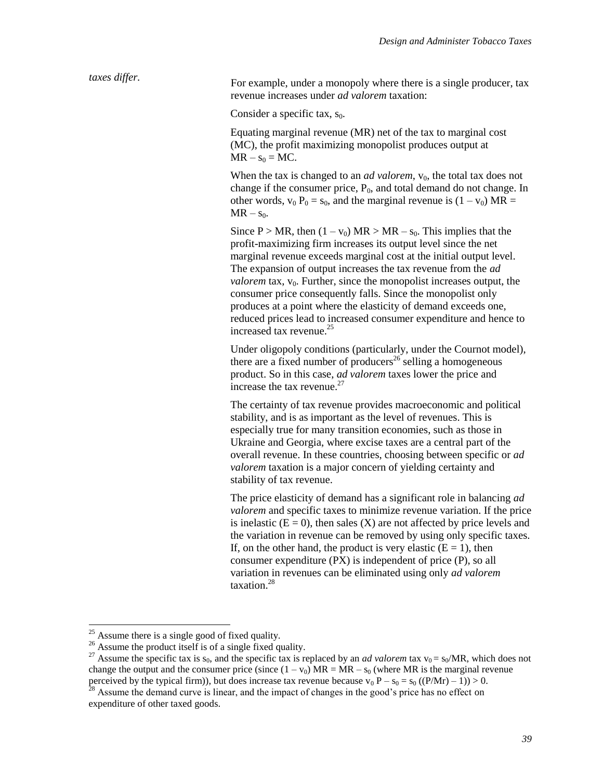*taxes differ.* For example, under a monopoly where there is a single producer, tax revenue increases under *ad valorem* taxation:

Consider a specific tax,  $s_0$ .

Equating marginal revenue (MR) net of the tax to marginal cost (MC), the profit maximizing monopolist produces output at  $MR - s_0 = MC$ .

When the tax is changed to an *ad valorem*,  $v_0$ , the total tax does not change if the consumer price,  $P_0$ , and total demand do not change. In other words,  $v_0 P_0 = s_0$ , and the marginal revenue is  $(1 - v_0) MR =$  $MR - s_0$ .

Since P > MR, then  $(1 - v_0)$  MR > MR –  $s_0$ . This implies that the profit-maximizing firm increases its output level since the net marginal revenue exceeds marginal cost at the initial output level. The expansion of output increases the tax revenue from the *ad*   $$ consumer price consequently falls. Since the monopolist only produces at a point where the elasticity of demand exceeds one, reduced prices lead to increased consumer expenditure and hence to increased tax revenue.<sup>25</sup>

Under oligopoly conditions (particularly, under the Cournot model), there are a fixed number of producers<sup>26</sup> selling a homogeneous product. So in this case, *ad valorem* taxes lower the price and increase the tax revenue. $27$ 

The certainty of tax revenue provides macroeconomic and political stability, and is as important as the level of revenues. This is especially true for many transition economies, such as those in Ukraine and Georgia, where excise taxes are a central part of the overall revenue. In these countries, choosing between specific or *ad valorem* taxation is a major concern of yielding certainty and stability of tax revenue.

The price elasticity of demand has a significant role in balancing *ad valorem* and specific taxes to minimize revenue variation. If the price is inelastic  $(E = 0)$ , then sales  $(X)$  are not affected by price levels and the variation in revenue can be removed by using only specific taxes. If, on the other hand, the product is very elastic  $(E = 1)$ , then consumer expenditure (PX) is independent of price (P), so all variation in revenues can be eliminated using only *ad valorem* taxation.<sup>28</sup>

 $\overline{\phantom{a}}$ 

 $25$  Assume there is a single good of fixed quality.

 $26$  Assume the product itself is of a single fixed quality.

<sup>&</sup>lt;sup>27</sup> Assume the specific tax is s<sub>0</sub>, and the specific tax is replaced by an *ad valorem* tax  $v_0 = s_0/MR$ , which does not change the output and the consumer price (since  $(1 - v_0) MR = MR - s_0$  (where MR is the marginal revenue perceived by the typical firm)), but does increase tax revenue because  $v_0 P - s_0 = s_0 ((P/Mr) - 1)) > 0$ .

 $28$  Assume the demand curve is linear, and the impact of changes in the good's price has no effect on expenditure of other taxed goods.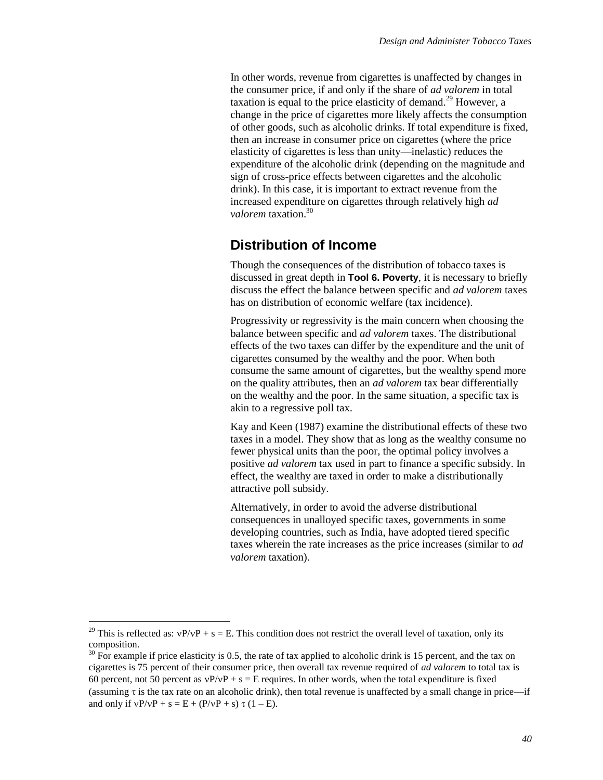In other words, revenue from cigarettes is unaffected by changes in the consumer price, if and only if the share of *ad valorem* in total taxation is equal to the price elasticity of demand.<sup>29</sup> However, a change in the price of cigarettes more likely affects the consumption of other goods, such as alcoholic drinks. If total expenditure is fixed, then an increase in consumer price on cigarettes (where the price elasticity of cigarettes is less than unity—inelastic) reduces the expenditure of the alcoholic drink (depending on the magnitude and sign of cross-price effects between cigarettes and the alcoholic drink). In this case, it is important to extract revenue from the increased expenditure on cigarettes through relatively high *ad valorem* taxation.<sup>30</sup>

#### **Distribution of Income**

Though the consequences of the distribution of tobacco taxes is discussed in great depth in **Tool 6. Poverty**, it is necessary to briefly discuss the effect the balance between specific and *ad valorem* taxes has on distribution of economic welfare (tax incidence).

Progressivity or regressivity is the main concern when choosing the balance between specific and *ad valorem* taxes. The distributional effects of the two taxes can differ by the expenditure and the unit of cigarettes consumed by the wealthy and the poor. When both consume the same amount of cigarettes, but the wealthy spend more on the quality attributes, then an *ad valorem* tax bear differentially on the wealthy and the poor. In the same situation, a specific tax is akin to a regressive poll tax.

Kay and Keen (1987) examine the distributional effects of these two taxes in a model. They show that as long as the wealthy consume no fewer physical units than the poor, the optimal policy involves a positive *ad valorem* tax used in part to finance a specific subsidy. In effect, the wealthy are taxed in order to make a distributionally attractive poll subsidy.

Alternatively, in order to avoid the adverse distributional consequences in unalloyed specific taxes, governments in some developing countries, such as India, have adopted tiered specific taxes wherein the rate increases as the price increases (similar to *ad valorem* taxation).

 $\overline{\phantom{a}}$ 

<sup>&</sup>lt;sup>29</sup> This is reflected as:  $vP/vP + s = E$ . This condition does not restrict the overall level of taxation, only its composition.

 $30$  For example if price elasticity is 0.5, the rate of tax applied to alcoholic drink is 15 percent, and the tax on cigarettes is 75 percent of their consumer price, then overall tax revenue required of *ad valorem* to total tax is 60 percent, not 50 percent as  $vP/vP + s = E$  requires. In other words, when the total expenditure is fixed (assuming  $\tau$  is the tax rate on an alcoholic drink), then total revenue is unaffected by a small change in price—if and only if  $vP/vP + s = E + (P/vP + s) \tau (1 - E)$ .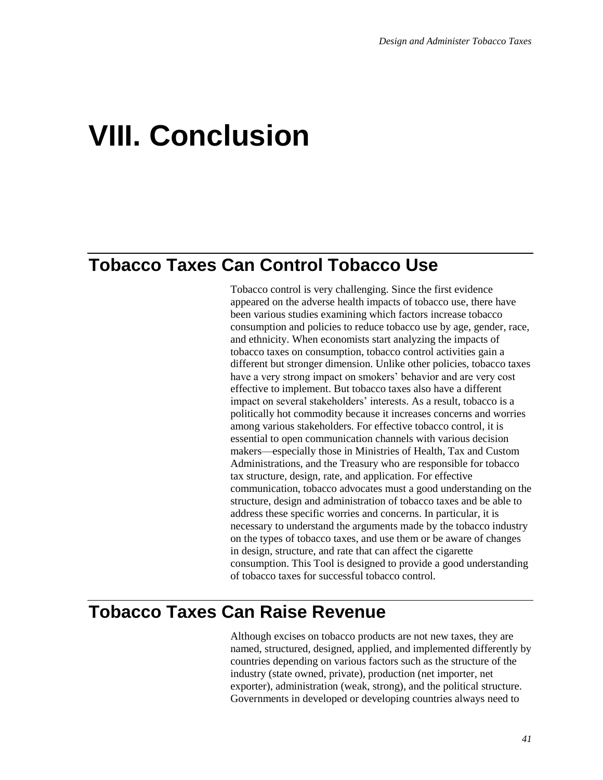## **VIII. Conclusion**

## **Tobacco Taxes Can Control Tobacco Use**

Tobacco control is very challenging. Since the first evidence appeared on the adverse health impacts of tobacco use, there have been various studies examining which factors increase tobacco consumption and policies to reduce tobacco use by age, gender, race, and ethnicity. When economists start analyzing the impacts of tobacco taxes on consumption, tobacco control activities gain a different but stronger dimension. Unlike other policies, tobacco taxes have a very strong impact on smokers' behavior and are very cost effective to implement. But tobacco taxes also have a different impact on several stakeholders' interests. As a result, tobacco is a politically hot commodity because it increases concerns and worries among various stakeholders. For effective tobacco control, it is essential to open communication channels with various decision makers—especially those in Ministries of Health, Tax and Custom Administrations, and the Treasury who are responsible for tobacco tax structure, design, rate, and application. For effective communication, tobacco advocates must a good understanding on the structure, design and administration of tobacco taxes and be able to address these specific worries and concerns. In particular, it is necessary to understand the arguments made by the tobacco industry on the types of tobacco taxes, and use them or be aware of changes in design, structure, and rate that can affect the cigarette consumption. This Tool is designed to provide a good understanding of tobacco taxes for successful tobacco control.

## **Tobacco Taxes Can Raise Revenue**

Although excises on tobacco products are not new taxes, they are named, structured, designed, applied, and implemented differently by countries depending on various factors such as the structure of the industry (state owned, private), production (net importer, net exporter), administration (weak, strong), and the political structure. Governments in developed or developing countries always need to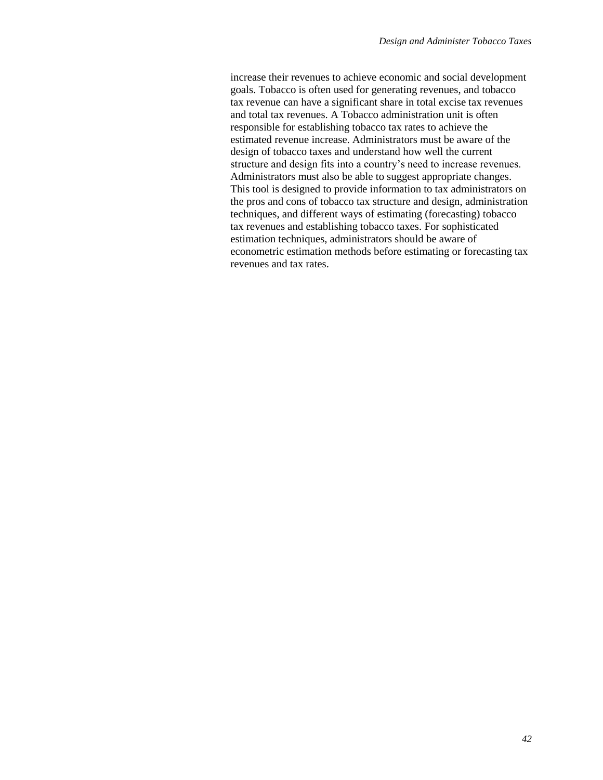increase their revenues to achieve economic and social development goals. Tobacco is often used for generating revenues, and tobacco tax revenue can have a significant share in total excise tax revenues and total tax revenues. A Tobacco administration unit is often responsible for establishing tobacco tax rates to achieve the estimated revenue increase. Administrators must be aware of the design of tobacco taxes and understand how well the current structure and design fits into a country's need to increase revenues. Administrators must also be able to suggest appropriate changes. This tool is designed to provide information to tax administrators on the pros and cons of tobacco tax structure and design, administration techniques, and different ways of estimating (forecasting) tobacco tax revenues and establishing tobacco taxes. For sophisticated estimation techniques, administrators should be aware of econometric estimation methods before estimating or forecasting tax revenues and tax rates.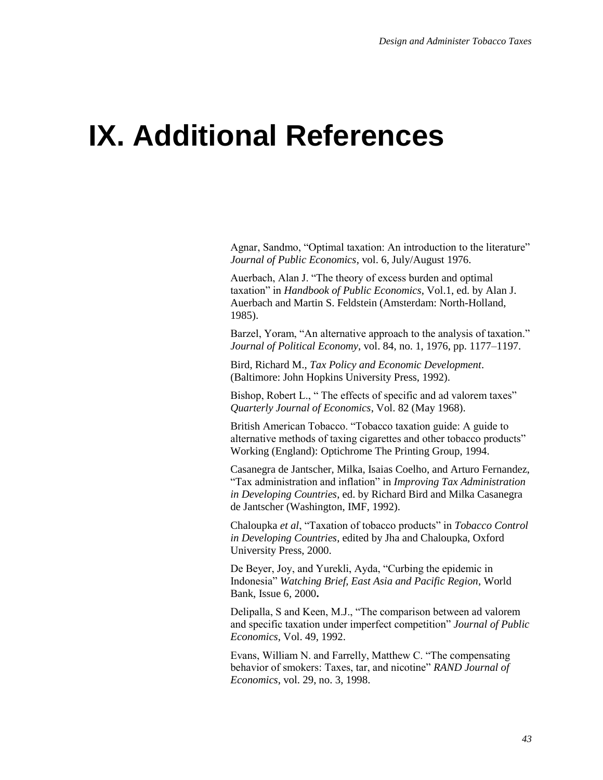## **IX. Additional References**

Agnar, Sandmo, "Optimal taxation: An introduction to the literature" *Journal of Public Economics*, vol. 6, July/August 1976.

Auerbach, Alan J. "The theory of excess burden and optimal taxation" in *Handbook of Public Economics*, Vol.1, ed. by Alan J. Auerbach and Martin S. Feldstein (Amsterdam: North-Holland, 1985).

Barzel, Yoram, "An alternative approach to the analysis of taxation." *Journal of Political Economy*, vol. 84, no. 1, 1976, pp. 1177–1197.

Bird, Richard M., *Tax Policy and Economic Development*. (Baltimore: John Hopkins University Press, 1992).

Bishop, Robert L., " The effects of specific and ad valorem taxes" *Quarterly Journal of Economics*, Vol. 82 (May 1968).

British American Tobacco. "Tobacco taxation guide: A guide to alternative methods of taxing cigarettes and other tobacco products" Working (England): Optichrome The Printing Group, 1994.

Casanegra de Jantscher, Milka, Isaias Coelho, and Arturo Fernandez, "Tax administration and inflation" in *Improving Tax Administration in Developing Countries*, ed. by Richard Bird and Milka Casanegra de Jantscher (Washington, IMF, 1992).

Chaloupka *et al*, "Taxation of tobacco products" in *Tobacco Control in Developing Countries*, edited by Jha and Chaloupka, Oxford University Press, 2000.

De Beyer, Joy, and Yurekli, Ayda, "Curbing the epidemic in Indonesia" *Watching Brief, East Asia and Pacific Region*, World Bank, Issue 6, 2000**.**

Delipalla, S and Keen, M.J., "The comparison between ad valorem and specific taxation under imperfect competition" *Journal of Public Economics*, Vol. 49, 1992.

Evans, William N. and Farrelly, Matthew C. "The compensating behavior of smokers: Taxes, tar, and nicotine" *RAND Journal of Economics*, vol. 29, no. 3, 1998.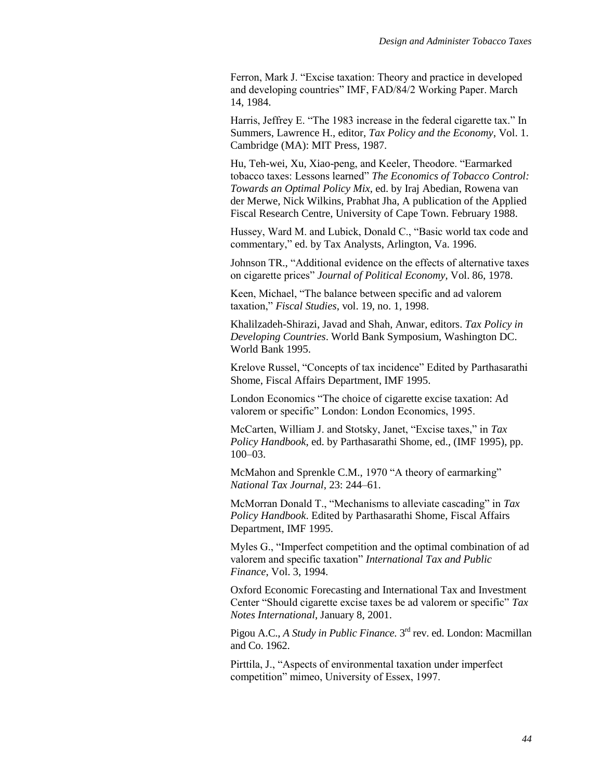Ferron, Mark J. "Excise taxation: Theory and practice in developed and developing countries" IMF, FAD/84/2 Working Paper. March 14, 1984.

Harris, Jeffrey E. "The 1983 increase in the federal cigarette tax." In Summers, Lawrence H., editor, *Tax Policy and the Economy*, Vol. 1. Cambridge (MA): MIT Press, 1987.

Hu, Teh-wei, Xu, Xiao-peng, and Keeler, Theodore. "Earmarked tobacco taxes: Lessons learned" *The Economics of Tobacco Control: Towards an Optimal Policy Mix*, ed. by Iraj Abedian, Rowena van der Merwe, Nick Wilkins, Prabhat Jha, A publication of the Applied Fiscal Research Centre, University of Cape Town. February 1988.

Hussey, Ward M. and Lubick, Donald C., "Basic world tax code and commentary," ed. by Tax Analysts, Arlington, Va. 1996.

Johnson TR., "Additional evidence on the effects of alternative taxes on cigarette prices" *Journal of Political Economy*, Vol. 86, 1978.

Keen, Michael, "The balance between specific and ad valorem taxation," *Fiscal Studies*, vol. 19, no. 1, 1998.

Khalilzadeh-Shirazi, Javad and Shah, Anwar, editors. *Tax Policy in Developing Countries*. World Bank Symposium, Washington DC. World Bank 1995.

Krelove Russel, "Concepts of tax incidence" Edited by Parthasarathi Shome, Fiscal Affairs Department, IMF 1995.

London Economics "The choice of cigarette excise taxation: Ad valorem or specific" London: London Economics, 1995.

McCarten, William J. and Stotsky, Janet, "Excise taxes," in *Tax Policy Handbook*, ed. by Parthasarathi Shome, ed., (IMF 1995), pp. 100–03.

McMahon and Sprenkle C.M., 1970 "A theory of earmarking" *National Tax Journal*, 23: 244–61.

McMorran Donald T., "Mechanisms to alleviate cascading" in *Tax Policy Handbook*. Edited by Parthasarathi Shome, Fiscal Affairs Department, IMF 1995.

Myles G., "Imperfect competition and the optimal combination of ad valorem and specific taxation" *International Tax and Public Finance*, Vol. 3, 1994.

Oxford Economic Forecasting and International Tax and Investment Center "Should cigarette excise taxes be ad valorem or specific" *Tax Notes International*, January 8, 2001.

Pigou A.C., *A Study in Public Finance*. 3<sup>rd</sup> rev. ed. London: Macmillan and Co. 1962.

Pirttila, J., "Aspects of environmental taxation under imperfect competition" mimeo, University of Essex, 1997.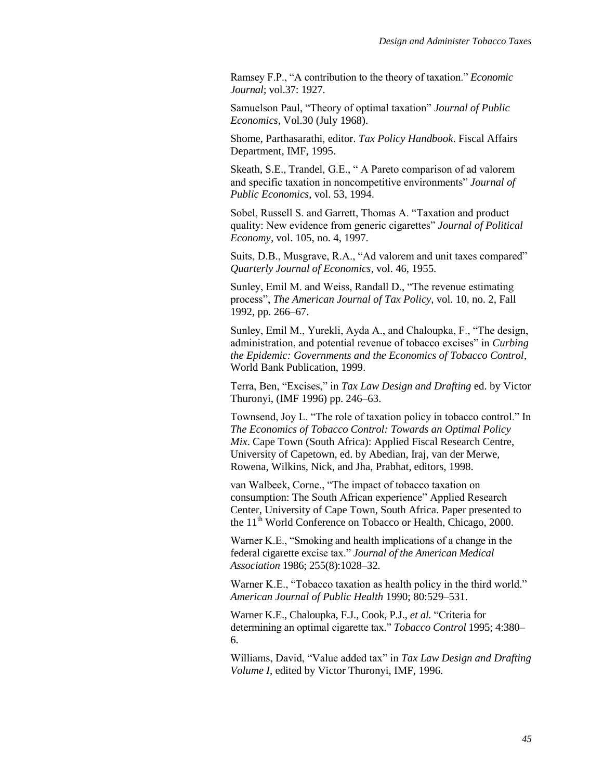Ramsey F.P., "A contribution to the theory of taxation." *Economic Journal*; vol.37: 1927.

Samuelson Paul, "Theory of optimal taxation" *Journal of Public Economics*, Vol.30 (July 1968).

Shome, Parthasarathi, editor. *Tax Policy Handbook*. Fiscal Affairs Department, IMF, 1995.

Skeath, S.E., Trandel, G.E., " A Pareto comparison of ad valorem and specific taxation in noncompetitive environments" *Journal of Public Economics*, vol. 53, 1994.

Sobel, Russell S. and Garrett, Thomas A. "Taxation and product quality: New evidence from generic cigarettes" *Journal of Political Economy*, vol. 105, no. 4, 1997.

Suits, D.B., Musgrave, R.A., "Ad valorem and unit taxes compared" *Quarterly Journal of Economics*, vol. 46, 1955.

Sunley, Emil M. and Weiss, Randall D., "The revenue estimating process", *The American Journal of Tax Policy,* vol. 10, no. 2, Fall 1992, pp. 266–67.

Sunley, Emil M., Yurekli, Ayda A., and Chaloupka, F., "The design, administration, and potential revenue of tobacco excises" in *Curbing the Epidemic: Governments and the Economics of Tobacco Control*, World Bank Publication, 1999.

Terra, Ben, "Excises," in *Tax Law Design and Drafting* ed. by Victor Thuronyi, (IMF 1996) pp. 246–63.

Townsend, Joy L. "The role of taxation policy in tobacco control." In *The Economics of Tobacco Control: Towards an Optimal Policy Mix*. Cape Town (South Africa): Applied Fiscal Research Centre, University of Capetown, ed. by Abedian, Iraj, van der Merwe, Rowena, Wilkins, Nick, and Jha, Prabhat, editors, 1998.

van Walbeek, Corne., "The impact of tobacco taxation on consumption: The South African experience" Applied Research Center, University of Cape Town, South Africa. Paper presented to the 11<sup>th</sup> World Conference on Tobacco or Health, Chicago, 2000.

Warner K.E., "Smoking and health implications of a change in the federal cigarette excise tax." *Journal of the American Medical Association* 1986; 255(8):1028–32.

Warner K.E., "Tobacco taxation as health policy in the third world." *American Journal of Public Health* 1990; 80:529–531.

Warner K.E., Chaloupka, F.J., Cook, P.J., *et al.* "Criteria for determining an optimal cigarette tax." *Tobacco Control* 1995; 4:380– 6.

Williams, David, "Value added tax" in *Tax Law Design and Drafting Volume I*, edited by Victor Thuronyi, IMF, 1996.